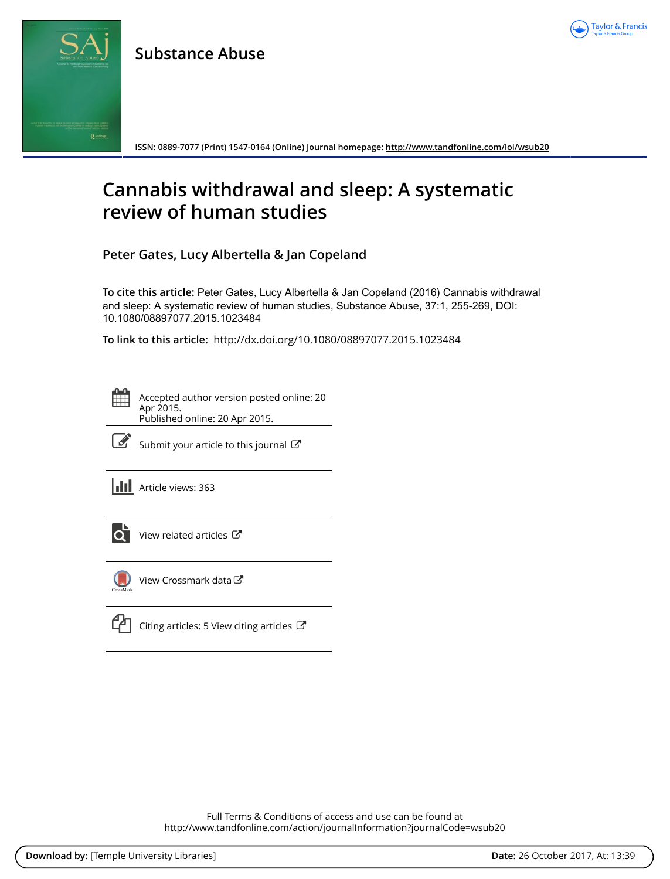

## **Substance Abuse**



**ISSN: 0889-7077 (Print) 1547-0164 (Online) Journal homepage:<http://www.tandfonline.com/loi/wsub20>**

# **Cannabis withdrawal and sleep: A systematic review of human studies**

**Peter Gates, Lucy Albertella & Jan Copeland**

**To cite this article:** Peter Gates, Lucy Albertella & Jan Copeland (2016) Cannabis withdrawal and sleep: A systematic review of human studies, Substance Abuse, 37:1, 255-269, DOI: [10.1080/08897077.2015.1023484](http://www.tandfonline.com/action/showCitFormats?doi=10.1080/08897077.2015.1023484)

**To link to this article:** <http://dx.doi.org/10.1080/08897077.2015.1023484>

Accepted author version posted online: 20 Apr 2015. Published online: 20 Apr 2015.



 $\overrightarrow{S}$  [Submit your article to this journal](http://www.tandfonline.com/action/authorSubmission?journalCode=wsub20&show=instructions)  $\overrightarrow{S}$ 

**III** Article views: 363



 $\overline{Q}$  [View related articles](http://www.tandfonline.com/doi/mlt/10.1080/08897077.2015.1023484)  $\mathbb{Z}$ 



[View Crossmark data](http://crossmark.crossref.org/dialog/?doi=10.1080/08897077.2015.1023484&domain=pdf&date_stamp=2015-04-20)



 $\mathbb{C}$  [Citing articles: 5 View citing articles](http://www.tandfonline.com/doi/citedby/10.1080/08897077.2015.1023484#tabModule)  $\mathbb{C}$ 

Full Terms & Conditions of access and use can be found at <http://www.tandfonline.com/action/journalInformation?journalCode=wsub20>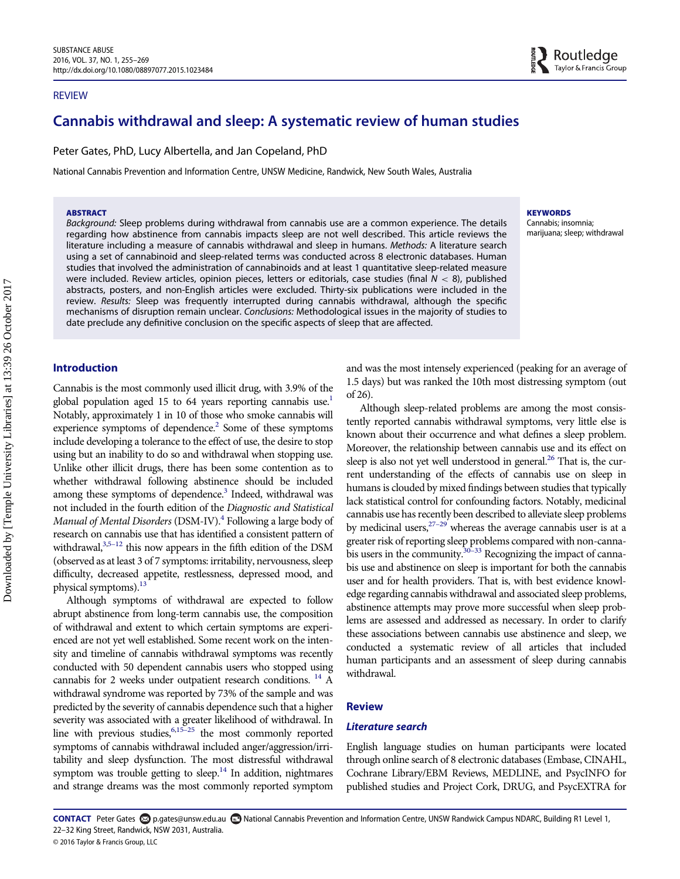#### REVIEW

### Cannabis withdrawal and sleep: A systematic review of human studies

Peter Gates, PhD, Lucy Albertella, and Jan Copeland, PhD

National Cannabis Prevention and Information Centre, UNSW Medicine, Randwick, New South Wales, Australia

#### ABSTRACT

Background: Sleep problems during withdrawal from cannabis use are a common experience. The details regarding how abstinence from cannabis impacts sleep are not well described. This article reviews the literature including a measure of cannabis withdrawal and sleep in humans. Methods: A literature search using a set of cannabinoid and sleep-related terms was conducted across 8 electronic databases. Human studies that involved the administration of cannabinoids and at least 1 quantitative sleep-related measure were included. Review articles, opinion pieces, letters or editorials, case studies (final  $N < 8$ ), published abstracts, posters, and non-English articles were excluded. Thirty-six publications were included in the review. Results: Sleep was frequently interrupted during cannabis withdrawal, although the specific mechanisms of disruption remain unclear. Conclusions: Methodological issues in the majority of studies to date preclude any definitive conclusion on the specific aspects of sleep that are affected.

#### Introduction

Cannabis is the most commonly used illicit drug, with 3.9% of the global population aged [1](#page-14-0)5 to 64 years reporting cannabis use.<sup>1</sup> Notably, approximately 1 in 10 of those who smoke cannabis will experience symptoms of dependence.<sup>2</sup> Some of these symptoms include developing a tolerance to the effect of use, the desire to stop using but an inability to do so and withdrawal when stopping use. Unlike other illicit drugs, there has been some contention as to whether withdrawal following abstinence should be included among these symptoms of dependence. $3$  Indeed, withdrawal was not included in the fourth edition of the Diagnostic and Statistical Manual of Mental Disorders (DSM-IV).<sup>[4](#page-14-3)</sup> Following a large body of research on cannabis use that has identified a consistent pattern of withdrawal, $3,5-12$  $3,5-12$  this now appears in the fifth edition of the DSM (observed as at least 3 of 7 symptoms: irritability, nervousness, sleep difficulty, decreased appetite, restlessness, depressed mood, and physical symptoms).<sup>13</sup>

Although symptoms of withdrawal are expected to follow abrupt abstinence from long-term cannabis use, the composition of withdrawal and extent to which certain symptoms are experienced are not yet well established. Some recent work on the intensity and timeline of cannabis withdrawal symptoms was recently conducted with 50 dependent cannabis users who stopped using cannabis for 2 weeks under outpatient research conditions. [14](#page-14-6) A withdrawal syndrome was reported by 73% of the sample and was predicted by the severity of cannabis dependence such that a higher severity was associated with a greater likelihood of withdrawal. In line with previous studies,  $6,15-25$  $6,15-25$  $6,15-25$  the most commonly reported symptoms of cannabis withdrawal included anger/aggression/irritability and sleep dysfunction. The most distressful withdrawal symptom was trouble getting to sleep.<sup>[14](#page-14-6)</sup> In addition, nightmares and strange dreams was the most commonly reported symptom and was the most intensely experienced (peaking for an average of 1.5 days) but was ranked the 10th most distressing symptom (out

of 26). Although sleep-related problems are among the most consistently reported cannabis withdrawal symptoms, very little else is known about their occurrence and what defines a sleep problem. Moreover, the relationship between cannabis use and its effect on sleep is also not yet well understood in general. $^{26}$  $^{26}$  $^{26}$  That is, the current understanding of the effects of cannabis use on sleep in humans is clouded by mixed findings between studies that typically lack statistical control for confounding factors. Notably, medicinal cannabis use has recently been described to alleviate sleep problems by medicinal users,  $27-29$  $27-29$  whereas the average cannabis user is at a greater risk of reporting sleep problems compared with non-cannabis users in the community.<sup>30-33</sup> Recognizing the impact of cannabis use and abstinence on sleep is important for both the cannabis user and for health providers. That is, with best evidence knowledge regarding cannabis withdrawal and associated sleep problems, abstinence attempts may prove more successful when sleep problems are assessed and addressed as necessary. In order to clarify these associations between cannabis use abstinence and sleep, we conducted a systematic review of all articles that included human participants and an assessment of sleep during cannabis withdrawal.

#### Review

#### Literature search

English language studies on human participants were located through online search of 8 electronic databases (Embase, CINAHL, Cochrane Library/EBM Reviews, MEDLINE, and PsycINFO for published studies and Project Cork, DRUG, and PsycEXTRA for

CONTACT Peter Gates **S** p.gates@unsw.edu.au **B** National Cannabis Prevention and Information Centre, UNSW Randwick Campus NDARC, Building R1 Level 1, 22–32 King Street, Randwick, NSW 2031, Australia.

## **KEYWORDS**

Cannabis; insomnia; marijuana; sleep; withdrawal

<sup>© 2016</sup> Taylor & Francis Group, LLC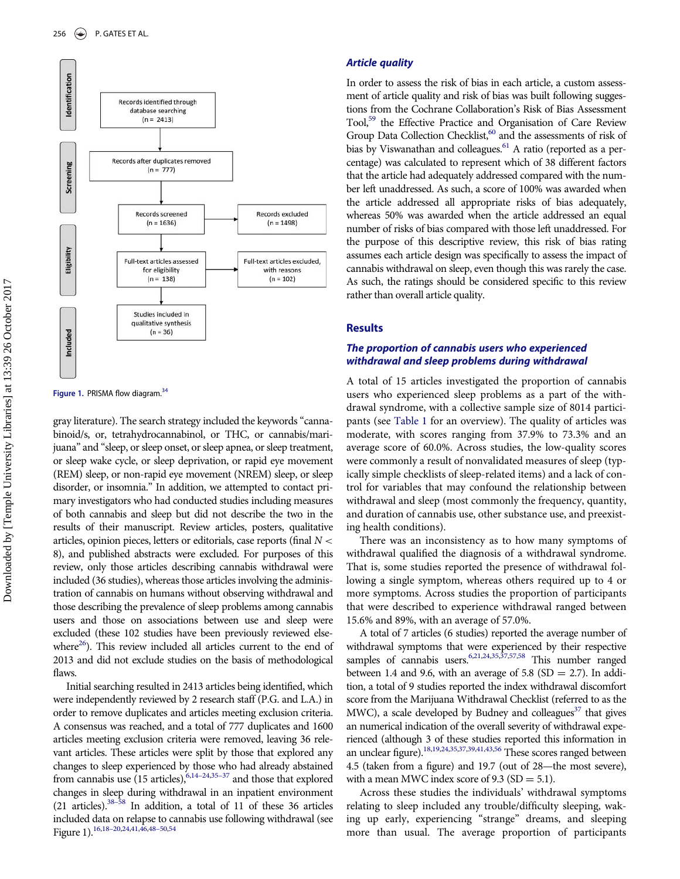

Figure 1. PRISMA flow diagram.<sup>[34](#page-14-23)</sup>

gray literature). The search strategy included the keywords "cannabinoid/s, or, tetrahydrocannabinol, or THC, or cannabis/marijuana" and "sleep, or sleep onset, or sleep apnea, or sleep treatment, or sleep wake cycle, or sleep deprivation, or rapid eye movement (REM) sleep, or non-rapid eye movement (NREM) sleep, or sleep disorder, or insomnia." In addition, we attempted to contact primary investigators who had conducted studies including measures of both cannabis and sleep but did not describe the two in the results of their manuscript. Review articles, posters, qualitative articles, opinion pieces, letters or editorials, case reports (final  $N <$ 8), and published abstracts were excluded. For purposes of this review, only those articles describing cannabis withdrawal were included (36 studies), whereas those articles involving the administration of cannabis on humans without observing withdrawal and those describing the prevalence of sleep problems among cannabis users and those on associations between use and sleep were excluded (these 102 studies have been previously reviewed elsewhere<sup>26</sup>). This review included all articles current to the end of 2013 and did not exclude studies on the basis of methodological flaws.

Initial searching resulted in 2413 articles being identified, which were independently reviewed by 2 research staff (P.G. and L.A.) in order to remove duplicates and articles meeting exclusion criteria. A consensus was reached, and a total of 777 duplicates and 1600 articles meeting exclusion criteria were removed, leaving 36 relevant articles. These articles were split by those that explored any changes to sleep experienced by those who had already abstained from cannabis use  $(15 \text{ articles})$ ,  $6,14-24,35-37$  $6,14-24,35-37$  $6,14-24,35-37$  $6,14-24,35-37$  and those that explored changes in sleep during withdrawal in an inpatient environment (21 articles)[.38](#page-14-13)–<sup>58</sup> In addition, a total of 11 of these 36 articles included data on relapse to cannabis use following withdrawal (see Figure 1).[16](#page-14-14),[18](#page-14-15)–20[,24](#page-14-16)[,41](#page-14-17)[,46](#page-15-0),[48](#page-15-1)–50[,54](#page-15-2)

#### Article quality

In order to assess the risk of bias in each article, a custom assessment of article quality and risk of bias was built following suggestions from the Cochrane Collaboration's Risk of Bias Assessment Tool,<sup>[59](#page-15-3)</sup> the Effective Practice and Organisation of Care Review Group Data Collection Checklist,<sup>[60](#page-15-4)</sup> and the assessments of risk of bias by Viswanathan and colleagues.<sup>61</sup> A ratio (reported as a percentage) was calculated to represent which of 38 different factors that the article had adequately addressed compared with the number left unaddressed. As such, a score of 100% was awarded when the article addressed all appropriate risks of bias adequately, whereas 50% was awarded when the article addressed an equal number of risks of bias compared with those left unaddressed. For the purpose of this descriptive review, this risk of bias rating assumes each article design was specifically to assess the impact of cannabis withdrawal on sleep, even though this was rarely the case. As such, the ratings should be considered specific to this review rather than overall article quality.

#### **Results**

#### The proportion of cannabis users who experienced withdrawal and sleep problems during withdrawal

A total of 15 articles investigated the proportion of cannabis users who experienced sleep problems as a part of the withdrawal syndrome, with a collective sample size of 8014 participants (see [Table 1](#page-3-0) for an overview). The quality of articles was moderate, with scores ranging from 37.9% to 73.3% and an average score of 60.0%. Across studies, the low-quality scores were commonly a result of nonvalidated measures of sleep (typically simple checklists of sleep-related items) and a lack of control for variables that may confound the relationship between withdrawal and sleep (most commonly the frequency, quantity, and duration of cannabis use, other substance use, and preexisting health conditions).

There was an inconsistency as to how many symptoms of withdrawal qualified the diagnosis of a withdrawal syndrome. That is, some studies reported the presence of withdrawal following a single symptom, whereas others required up to 4 or more symptoms. Across studies the proportion of participants that were described to experience withdrawal ranged between 15.6% and 89%, with an average of 57.0%.

A total of 7 articles (6 studies) reported the average number of withdrawal symptoms that were experienced by their respective samples of cannabis users.<sup>6,[21](#page-14-18),[24](#page-14-16),[35](#page-14-12)[,37](#page-14-19)[,57](#page-15-6)[,58](#page-15-7)</sup> This number ranged between 1.4 and 9.6, with an average of 5.8 (SD = 2.7). In addition, a total of 9 studies reported the index withdrawal discomfort score from the Marijuana Withdrawal Checklist (referred to as the MWC), a scale developed by Budney and colleagues<sup>37</sup> that gives an numerical indication of the overall severity of withdrawal experienced (although 3 of these studies reported this information in an unclear figure)[.18](#page-14-15)[,19](#page-14-20)[,24](#page-14-16)[,35](#page-14-12)[,37,](#page-14-19)[39,](#page-14-21)[41,](#page-14-17)[43,](#page-14-22)[56](#page-15-8) These scores ranged between 4.5 (taken from a figure) and 19.7 (out of 28—the most severe), with a mean MWC index score of 9.3 (SD  $=$  5.1).

Across these studies the individuals' withdrawal symptoms relating to sleep included any trouble/difficulty sleeping, waking up early, experiencing "strange" dreams, and sleeping more than usual. The average proportion of participants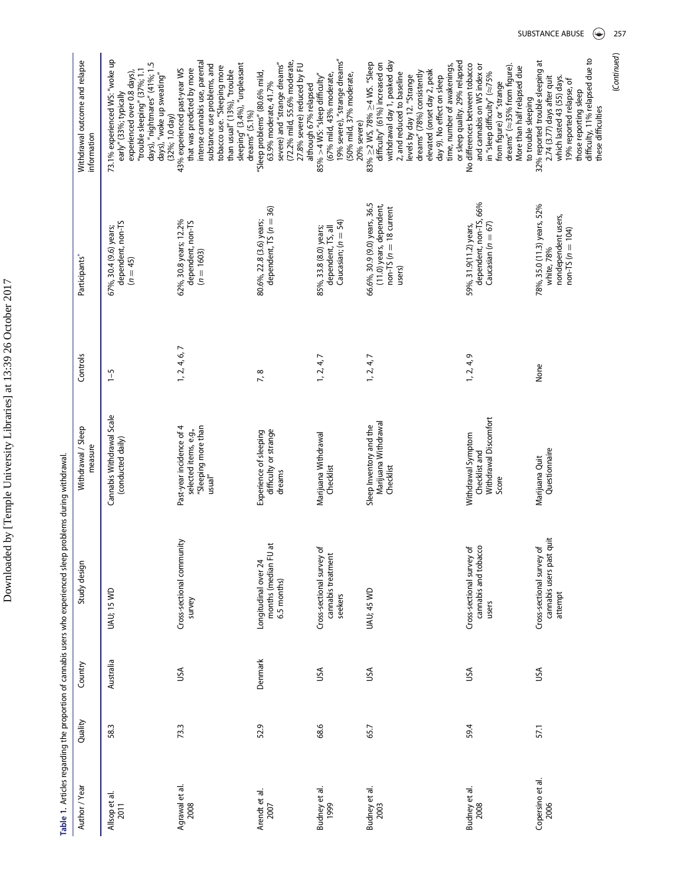<span id="page-3-0"></span>

| Author / Year            | Quality | Country   | Study design                                                     | Withdrawal / Sleep<br>measure                                                                  | Controls       | Participants*                                                                                      | Withdrawal outcome and relapse<br>information                                                                                                                                                                                                                                                                          |
|--------------------------|---------|-----------|------------------------------------------------------------------|------------------------------------------------------------------------------------------------|----------------|----------------------------------------------------------------------------------------------------|------------------------------------------------------------------------------------------------------------------------------------------------------------------------------------------------------------------------------------------------------------------------------------------------------------------------|
| Allsop et al.<br>2011    | 58.3    | Australia | UAU; 15 WD                                                       | Cannabis Withdrawal Scale<br>(conducted daily)                                                 | $\overline{5}$ | dependent, non-TS<br>67%, 30.4 (9.6) years;<br>$(n = 45)$                                          | 73.1% experienced WS: "woke up<br>days), "nightmares" (41%; 1.5<br>days), "woke up sweating"<br>"trouble sleeping" (37%; 1.1<br>experienced over 0.8 days)<br>early" (33%; typically<br>$(32\%; 1.0 \text{ day})$                                                                                                      |
| Agrawal et al.<br>2008   | 73.3    | USA       | Cross-sectional community<br>survey                              | "Sleeping more than<br>Past-year incidence of 4<br>selected items, e.g.,<br>$\mathsf{usual}''$ | 1, 2, 4, 6, 7  | 62%, 30.8 years; 12.2%<br>dependent, non-TS<br>$(n = 1603)$                                        | intense cannabis use, parental<br>sleeping" (3.4%), "unpleasant<br>substance use problems, and<br>tobacco use. "Sleeping more<br>43% experienced past-year WS<br>that was predicted by more<br>than usual" (13%), "trouble<br>dreams" $(5.1\%)$                                                                        |
| Arendt et al.<br>2007    | 52.9    | Denmark   | months (median FU at<br>Longitudinal over 24<br>6.5 months)      | difficulty or strange<br>Experience of sleeping<br>dreams                                      | 7,8            | dependent, $TS(n = 36)$<br>80.6%, 22.8 (3.6) years;                                                | (72.2% mild, 55.6% moderate,<br>severe) and "strange dreams"<br>27.8% severe) reduced by FU<br>"Sleep problems" (80.6% mild,<br>63.9% moderate, 41.7%<br>although 67% relapsed                                                                                                                                         |
| Budney et al.<br>1999    | 68.6    | USA       | Cross-sectional survey of<br>cannabis treatment<br>seekers       | Marijuana Withdrawal<br>Checklist                                                              | 1, 2, 4, 7     | Caucasian; $(n = 54)$<br>85%, 33.8 (8.0) years;<br>dependent, TS, all                              | 19% severe), "strange dreams"<br>(67% mild, 43% moderate,<br>(50% mild, 37% moderate,<br>$85\% > 4$ WS: "sleep difficulty"<br>20% severe)                                                                                                                                                                              |
| Budney et al.<br>2003    | 65.7    | USA       | <b>UAU; 45 WD</b>                                                | Marijuana Withdrawal<br>Sleep Inventory and the<br>Checklist                                   | 1, 2, 4, 7     | 66.6%, 30.9 (9.0) years, 36.5<br>(11.0) years, dependent,<br>$non-TS$ ( $n = 18$ current<br>users) | or sleep quality. 29% relapsed<br>withdrawal day 1, peaked day<br>83% ≥2 WS, 78% ≥4 WS. "Sleep<br>difficulty" (61%) increased on<br>time, number of awakenings,<br>elevated (onset day 2, peak<br>dreams" (78%) consistently<br>2, and reduced to baseline<br>levels by day 12. "Strange<br>day 9). No effect on sleep |
| Budney et al.<br>2008    | 59.4    | υsΑ       | Cross-sectional survey of<br>cannabis and tobacco<br>users       | Withdrawal Discomfort<br>Withdrawal Symptom<br>Checklist and<br>Score                          | 1, 2, 4, 9     | dependent, non-TS, 66%<br>Caucasian ( $n = 67$ )<br>59%, 31.9(11.2) years,                         | No differences between tobacco<br>and cannabis on WS index or<br>dreams" ( $\approx$ 35% from figure).<br>More than half relapsed due<br>in "sleep difficulty" ( $\approx$ 75%<br>from figure) or "strange<br>to trouble sleeping                                                                                      |
| Copersino et al.<br>2006 | 57.1    | USA       | cannabis users past quit<br>Cross-sectional survey of<br>attempt | Questionnaire<br>Marijuana Quit                                                                | None           | 78%, 35.0 (11.3) years, 52%<br>nondependent users,<br>$non-TS (n = 104)$<br>white, 78%             | difficulty, 11% relapsed due to<br>32% reported trouble sleeping at<br>2.74 (3.77) days after quit<br>which lasted 43 (55) days.<br>19% reported relapse, of<br>those reporting sleep<br>these difficulties                                                                                                            |

Table 1. Articles regarding the proportion of cannabis users who experienced sleep problems during withdrawal. Table 1. Articles regarding the proportion of cannabis users who experienced sleep problems during withdrawal. (Continued) (Continued)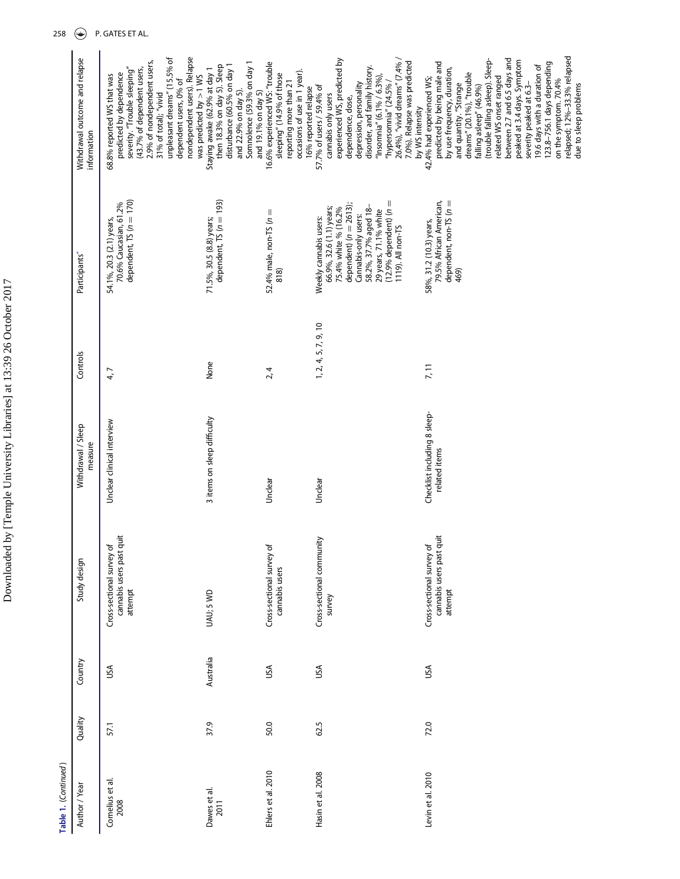| ľ<br>ł<br>Ì                                                                     |
|---------------------------------------------------------------------------------|
|                                                                                 |
| ٢<br>١                                                                          |
| l                                                                               |
| l,<br>Ĭ                                                                         |
| ı<br>J                                                                          |
|                                                                                 |
| ֧֧֧֧֧֦֧ׅ֧֧ׅ֧ׅ֧֧֧ׅ֧֧֧ׅ֧֧֛֛֛֛֛֛֚֚֚֚֚֚֚֚֚֚֚֚֚֚֚֚֚֚֚֚֚֚֚֚֚֚֚֝֝֓֝֓֝֓֜֝֓֜֜֜֝֬֜֜֝֬֜֝֬֜ |
|                                                                                 |
| I                                                                               |
| l<br>í.                                                                         |
| l                                                                               |
|                                                                                 |
|                                                                                 |
|                                                                                 |

Table 1. (Continued) Table 1. (Continued )

| Author / Year            | Quality | Country   | Study design                                                     | Withdrawal / Sleep<br>measure                 | Controls             | Participants*                                                                                                                                                                                                                      | Withdrawal outcome and relapse<br>information                                                                                                                                                                                                                                                                                                                                                                                                                                                         |
|--------------------------|---------|-----------|------------------------------------------------------------------|-----------------------------------------------|----------------------|------------------------------------------------------------------------------------------------------------------------------------------------------------------------------------------------------------------------------------|-------------------------------------------------------------------------------------------------------------------------------------------------------------------------------------------------------------------------------------------------------------------------------------------------------------------------------------------------------------------------------------------------------------------------------------------------------------------------------------------------------|
| Cornelius et al.<br>2008 | 57.1    | USA       | cannabis users past quit<br>Cross-sectional survey of<br>attempt | Unclear clinical interview                    | 4,7                  | dependent, $TS(n = 170)$<br>70.6% Caucasian, 61.2%<br>54.1%, 20.3 (2.1) years,                                                                                                                                                     | unpleasant dreams" (15.5% of<br>nondependent users). Relapse<br>2.9% of nondependent users,<br>severity. "Trouble sleeping"<br>(43.7% of dependent users,<br>predicted by dependence<br>68.8% reported WS that was<br>dependent users, 0% of<br>31% of total); "vivid                                                                                                                                                                                                                                 |
| Dawes et al.<br>2011     | 37.9    | Australia | UAU; 5 WD                                                        | 3 items on sleep difficulty                   | None                 | dependent, $TS(n = 193)$<br>71.5%, 30.5 (8.8) years;                                                                                                                                                                               | Somnolence (59.3% on day 1<br>disturbance (60.5% on day 1<br>then 18.3% on day 5). Sleep<br>Staying awake (62.9% at day 1<br>was predicted by $>1$ WS<br>and 22.9% on day 5).<br>and 19.1% on day 5)                                                                                                                                                                                                                                                                                                  |
| Ehlers et al. 2010       | 50.0    | USA       | Cross-sectional survey of<br>cannabis users                      | Unclea                                        | 2, 4                 | 52.4% male, non-TS ( $n =$<br>818)                                                                                                                                                                                                 | 16.6% experienced WS: "trouble<br>occasions of use in 1 year).<br>sleeping" (14.9% of those<br>reporting more than 21<br>16% reported relapse                                                                                                                                                                                                                                                                                                                                                         |
| Hasin et al. 2008        | 62.5    | USA       | Cross-sectional community<br>survey                              | Unclear                                       | 1, 2, 4, 5, 7, 9, 10 | $(12.9%$ dependent) $(n =$<br>dependent) $(n = 2613)$<br>66.9%, 32.6 (1.1) years;<br>75.4% white % (16.2%<br>58.2%, 37.7% aged 18-<br>29 years, 71.1% white<br>Cannabis-only users:<br>Weekly cannabis users:<br>1119). All non-TS | experienced WS, predicted by<br>26.4%), "vivid dreams" (7.4%<br>7.0%). Relapse was predicted<br>disorder, and family history.<br>"Insomnia" $(6.1\% / 6.3\%),$<br>"hypersomnia" (24.5% /<br>depression, personality<br>57.7% of users / 59.4% of<br>cannabis only users<br>dependence, dose,                                                                                                                                                                                                          |
| Levin et al. 2010        | 72.0    | USA       | cannabis users past quit<br>Cross-sectional survey of<br>attempt | Checklist including 8 sleep-<br>related items | 7, 11                | 79.5% African American,<br>dependent, non-TS (n =<br>58%, 31.2 (10.3) years,<br>469)                                                                                                                                               | relapsed; 12%-33.3% relapsed<br>between 2.7 and 6.5 days and<br>(trouble falling asleep). Sleep-<br>peaked at 3.4 days. Symptom<br>predicted by being male and<br>123.8-756.1 days depending<br>19.6 days with a duration of<br>by use frequency, duration,<br>dreams" (20.1%), "trouble<br>related WS onset ranged<br>42.4% had experienced WS;<br>on the symptom. 70.4%<br>and quantity. "Strange<br>severity peaked at 6.3-<br>due to sleep problems<br>falling asleep" (46.9%)<br>by WS intensity |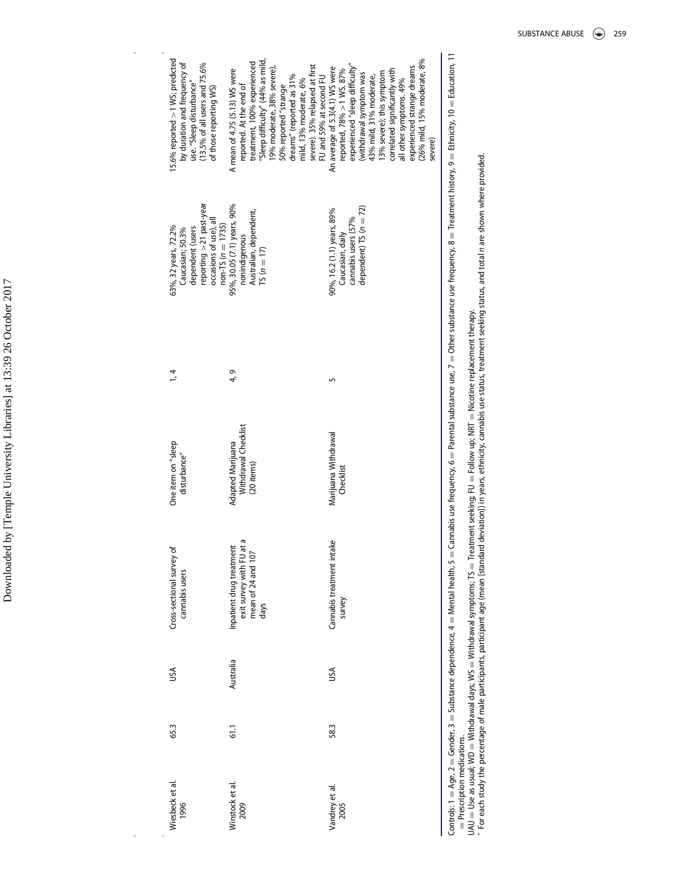| 15.6% reported $> 1$ WS; predicted<br>by duration and frequency of<br>(13.5% of all users and 75.6%<br>use. "Sleep disturbance"<br>of those reporting WS) | Sleep difficulty" (44% as mild<br>treatment, 100% experienced<br>severe). 35% relapsed at first<br>9% moderate, 38% severe),<br>A mean of 4.75 (5.13) WS were<br>dreams" (reported as 31%<br>FU and 59% at second FU<br>mild, 13% moderate, 6%<br>reported. At the end of<br>50% reported "strange | (26% mild, 15% moderate, 8%<br>experienced "sleep difficulty"<br>experienced strange dreams<br>An average of 5.3(4.1) WS were<br>correlated significantly with<br>reported, 78% > 1 WS. 87%<br>13% severe); this symptom<br>(withdrawal symptom was<br>43% mild, 31% moderate,<br>all other symptoms. 49%<br>severe) |
|-----------------------------------------------------------------------------------------------------------------------------------------------------------|----------------------------------------------------------------------------------------------------------------------------------------------------------------------------------------------------------------------------------------------------------------------------------------------------|----------------------------------------------------------------------------------------------------------------------------------------------------------------------------------------------------------------------------------------------------------------------------------------------------------------------|
| reporting > 21 past-year<br>occasions of use), all<br>$non-TS (n = 1735)$<br>63%, 32 years, 72.2%<br>Caucasian; 50.3%<br>dependent (users                 | 95%, 30.05 (7.1) years, 90%<br>Australian, dependent,<br>nonindigenous<br>$TS(n = 17)$                                                                                                                                                                                                             | dependent) TS ( $n = 72$ )<br>90%, 16.2 (1.1) years, 89%<br>cannabis users (57%<br>Caucasian, daily                                                                                                                                                                                                                  |
| $\frac{1}{4}$                                                                                                                                             | 4,9                                                                                                                                                                                                                                                                                                | 5                                                                                                                                                                                                                                                                                                                    |
| One item on "sleep<br>disturbance"                                                                                                                        | Withdrawal Checklist<br>Adapted Marijuana<br>(20 items)                                                                                                                                                                                                                                            | Marijuana Withdrawal<br>Checklist                                                                                                                                                                                                                                                                                    |
| Cross-sectional survey of<br>cannabis users                                                                                                               | Ō<br>Inpatient drug treatment<br>exit survey with FU at<br>mean of 24 and 107<br>days                                                                                                                                                                                                              | Cannabis treatment intake<br>survey                                                                                                                                                                                                                                                                                  |
| υsΑ                                                                                                                                                       | Australia                                                                                                                                                                                                                                                                                          | JSΑ                                                                                                                                                                                                                                                                                                                  |
| 65.3                                                                                                                                                      | 61,1                                                                                                                                                                                                                                                                                               | 58.3                                                                                                                                                                                                                                                                                                                 |
| Wiesbeck et al.<br>1996                                                                                                                                   | Winstock et al.<br>2009                                                                                                                                                                                                                                                                            | Vandrey et al.<br>2005                                                                                                                                                                                                                                                                                               |

Controls: 1 = Age, 2 = Sender, 3 = Substance dependence, 4 = Mental health, 5 = Cannabis use frequency, 6 = Parental substance use, 7 = Other substance use frequency, 8 = Treatment history, 9 = Education, 11 Prescription medications.

UAU = Use as usual; WD = Withdrawal days; WS = Withdrawal symptoms; Ts = Treatment seeking; FU = Follow up; NRT = Nicotine replacement therapy.

" ≦ '  $^*$  For each study the percentage of male participants, participant age (mean [standard deviation]) in years, ethnicity, cannabis use status, treatment seeking status, and total n are shown where provided.

 $\hat{\boldsymbol{\epsilon}}$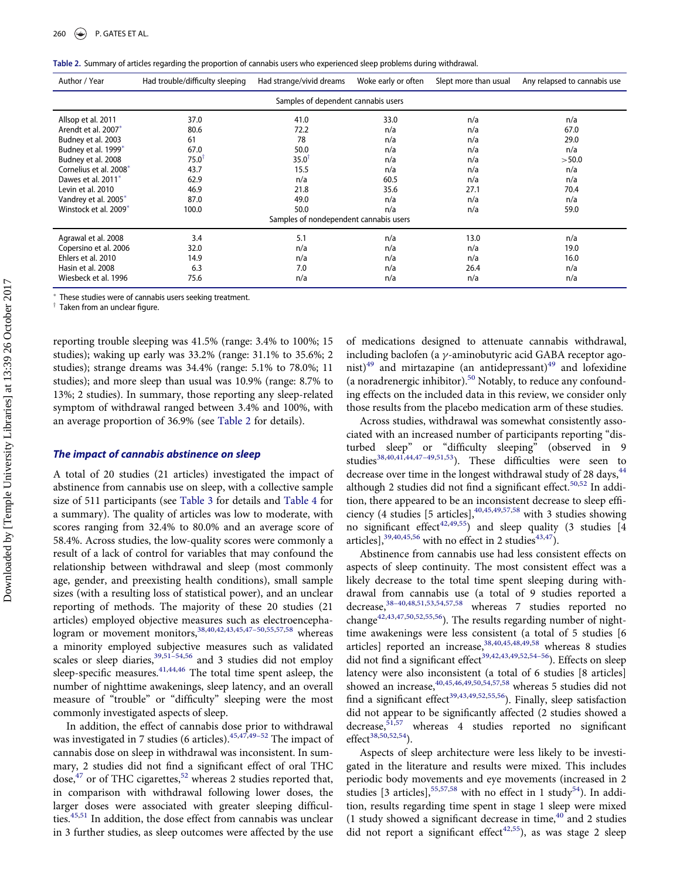<span id="page-6-0"></span>

|  | Table 2. Summary of articles regarding the proportion of cannabis users who experienced sleep problems during withdrawal. |  |  |  |
|--|---------------------------------------------------------------------------------------------------------------------------|--|--|--|
|  |                                                                                                                           |  |  |  |

| Author / Year                   | Had trouble/difficulty sleeping | Had strange/vivid dreams               | Woke early or often | Slept more than usual | Any relapsed to cannabis use |
|---------------------------------|---------------------------------|----------------------------------------|---------------------|-----------------------|------------------------------|
|                                 |                                 | Samples of dependent cannabis users    |                     |                       |                              |
| Allsop et al. 2011              | 37.0                            | 41.0                                   | 33.0                | n/a                   | n/a                          |
| Arendt et al. 2007 <sup>*</sup> | 80.6                            | 72.2                                   | n/a                 | n/a                   | 67.0                         |
| Budney et al. 2003              | 61                              | 78                                     | n/a                 | n/a                   | 29.0                         |
| Budney et al. 1999*             | 67.0                            | 50.0                                   | n/a                 | n/a                   | n/a                          |
| Budney et al. 2008              | $75.0$ <sup>T</sup>             | $35.0$ <sup>T</sup>                    | n/a                 | n/a                   | >50.0                        |
| Cornelius et al. 2008*          | 43.7                            | 15.5                                   | n/a                 | n/a                   | n/a                          |
| Dawes et al. 2011*              | 62.9                            | n/a                                    | 60.5                | n/a                   | n/a                          |
| Levin et al. 2010               | 46.9                            | 21.8                                   | 35.6                | 27.1                  | 70.4                         |
| Vandrey et al. 2005*            | 87.0                            | 49.0                                   | n/a                 | n/a                   | n/a                          |
| Winstock et al. 2009*           | 100.0                           | 50.0                                   | n/a                 | n/a                   | 59.0                         |
|                                 |                                 | Samples of nondependent cannabis users |                     |                       |                              |
| Agrawal et al. 2008             | 3.4                             | 5.1                                    | n/a                 | 13.0                  | n/a                          |
| Copersino et al. 2006           | 32.0                            | n/a                                    | n/a                 | n/a                   | 19.0                         |
| Ehlers et al. 2010              | 14.9                            | n/a                                    | n/a                 | n/a                   | 16.0                         |
| Hasin et al. 2008               | 6.3                             | 7.0                                    | n/a                 | 26.4                  | n/a                          |
| Wiesbeck et al. 1996            | 75.6                            | n/a                                    | n/a                 | n/a                   | n/a                          |

These studies were of cannabis users seeking treatment.

 $\dagger$  Taken from an unclear figure.

reporting trouble sleeping was 41.5% (range: 3.4% to 100%; 15 studies); waking up early was 33.2% (range: 31.1% to 35.6%; 2 studies); strange dreams was 34.4% (range: 5.1% to 78.0%; 11 studies); and more sleep than usual was 10.9% (range: 8.7% to 13%; 2 studies). In summary, those reporting any sleep-related symptom of withdrawal ranged between 3.4% and 100%, with an average proportion of 36.9% (see [Table 2](#page-6-0) for details).

#### The impact of cannabis abstinence on sleep

A total of 20 studies (21 articles) investigated the impact of abstinence from cannabis use on sleep, with a collective sample size of 511 participants (see [Table 3](#page-7-0) for details and [Table 4](#page-12-0) for a summary). The quality of articles was low to moderate, with scores ranging from 32.4% to 80.0% and an average score of 58.4%. Across studies, the low-quality scores were commonly a result of a lack of control for variables that may confound the relationship between withdrawal and sleep (most commonly age, gender, and preexisting health conditions), small sample sizes (with a resulting loss of statistical power), and an unclear reporting of methods. The majority of these 20 studies (21 articles) employed objective measures such as electroencephalogram or movement monitors,  $38,40,42,43,45,47-50,55,57,58$  $38,40,42,43,45,47-50,55,57,58$  $38,40,42,43,45,47-50,55,57,58$  $38,40,42,43,45,47-50,55,57,58$  $38,40,42,43,45,47-50,55,57,58$  $38,40,42,43,45,47-50,55,57,58$  $38,40,42,43,45,47-50,55,57,58$  $38,40,42,43,45,47-50,55,57,58$  $38,40,42,43,45,47-50,55,57,58$  $38,40,42,43,45,47-50,55,57,58$  $38,40,42,43,45,47-50,55,57,58$  $38,40,42,43,45,47-50,55,57,58$  $38,40,42,43,45,47-50,55,57,58$  $38,40,42,43,45,47-50,55,57,58$  whereas a minority employed subjective measures such as validated scales or sleep diaries,  $39,51-54,56$  $39,51-54,56$  $39,51-54,56$  $39,51-54,56$  and 3 studies did not employ sleep-specific measures.  $41,44,46$  $41,44,46$  $41,44,46$  The total time spent asleep, the number of nighttime awakenings, sleep latency, and an overall measure of "trouble" or "difficulty" sleeping were the most commonly investigated aspects of sleep.

In addition, the effect of cannabis dose prior to withdrawal was investigated in 7 studies (6 articles). $45,47,49-52$  $45,47,49-52$  $45,47,49-52$  $45,47,49-52$  The impact of cannabis dose on sleep in withdrawal was inconsistent. In summary, 2 studies did not find a significant effect of oral THC dose,<sup>[47](#page-15-9)</sup> or of THC cigarettes,<sup>[52](#page-15-13)</sup> whereas 2 studies reported that, in comparison with withdrawal following lower doses, the larger doses were associated with greater sleeping difficul-ties.<sup>[45](#page-14-26),[51](#page-15-11)</sup> In addition, the dose effect from cannabis was unclear in 3 further studies, as sleep outcomes were affected by the use of medications designed to attenuate cannabis withdrawal, including baclofen (a  $\gamma$ -aminobutyric acid GABA receptor agonist) $^{49}$  $^{49}$  $^{49}$  and mirtazapine (an antidepressant) $^{49}$  and lofexidine (a noradrenergic inhibitor).<sup>[50](#page-15-14)</sup> Notably, to reduce any confounding effects on the included data in this review, we consider only those results from the placebo medication arm of these studies.

Across studies, withdrawal was somewhat consistently associated with an increased number of participants reporting "disturbed sleep" or "difficulty sleeping" (observed in 9 studies<sup>38,[40](#page-14-24),[41,](#page-14-17)[44](#page-14-27),[47](#page-15-9)-49,[51](#page-15-11),53</sup>). These difficulties were seen to decrease over time in the longest withdrawal study of 28 days,<sup>[44](#page-14-27)</sup> although 2 studies did not find a significant effect.<sup>[50](#page-15-14),[52](#page-15-13)</sup> In addition, there appeared to be an inconsistent decrease to sleep efficiency (4 studies [5 articles],[40](#page-14-24),[45](#page-14-26)[,49](#page-15-12),[57](#page-15-6)[,58](#page-15-7) with 3 studies showing no significant effect<sup>[42](#page-14-25),[49](#page-15-12)[,55](#page-15-10)</sup>) and sleep quality (3 studies  $[4]$ articles], $39,40,45,56$  $39,40,45,56$  $39,40,45,56$  $39,40,45,56$  $39,40,45,56$  with no effect in 2 studies $43,47$ .

Abstinence from cannabis use had less consistent effects on aspects of sleep continuity. The most consistent effect was a likely decrease to the total time spent sleeping during withdrawal from cannabis use (a total of 9 studies reported a decrease,<sup>[38](#page-14-13)-40,[48](#page-15-1)[,51,](#page-15-11)[53](#page-15-15),[54,](#page-15-2)[57](#page-15-6),[58](#page-15-7)</sup> whereas 7 studies reported no change<sup>[42,](#page-14-25)[43,](#page-14-22)[47](#page-15-9),[50,](#page-15-14)[52](#page-15-13),[55](#page-15-10)[,56](#page-15-8)</sup>). The results regarding number of nighttime awakenings were less consistent (a total of 5 studies [6 articles] reported an increase, [38](#page-14-13), 40, [45,](#page-14-26) [48,](#page-15-1) [49](#page-15-12), [58](#page-15-7) whereas 8 studies did not find a significant effect<sup>[39](#page-14-21)[,42](#page-14-25),[43,](#page-14-22)[49,](#page-15-12)[52](#page-15-13),54–[56](#page-15-2)</sup>). Effects on sleep latency were also inconsistent (a total of 6 studies [8 articles] showed an increase,  $40,45,46,49,50,54,57,58$  $40,45,46,49,50,54,57,58$  $40,45,46,49,50,54,57,58$  $40,45,46,49,50,54,57,58$  $40,45,46,49,50,54,57,58$  $40,45,46,49,50,54,57,58$  $40,45,46,49,50,54,57,58$  $40,45,46,49,50,54,57,58$  $40,45,46,49,50,54,57,58$  $40,45,46,49,50,54,57,58$  $40,45,46,49,50,54,57,58$  whereas 5 studies did not find a significant effect<sup>[39](#page-14-21)[,43](#page-14-22),[49,](#page-15-12)[52,](#page-15-13)[55](#page-15-10),56</sup>). Finally, sleep satisfaction did not appear to be significantly affected (2 studies showed a decrease,<sup>[51,](#page-15-11)[57](#page-15-6)</sup> whereas 4 studies reported no significant effect<sup>[38](#page-14-13),[50](#page-15-14)[,52](#page-15-13)[,54](#page-15-2)</sup>).

Aspects of sleep architecture were less likely to be investigated in the literature and results were mixed. This includes periodic body movements and eye movements (increased in 2 studies [3 articles],  $55,57,58$  $55,57,58$  $55,57,58$  with no effect in 1 study<sup>[54](#page-15-2)</sup>). In addition, results regarding time spent in stage 1 sleep were mixed (1 study showed a significant decrease in time, $40$  and 2 studies did not report a significant effect<sup>[42](#page-14-25)[,55](#page-15-10)</sup>), as was stage 2 sleep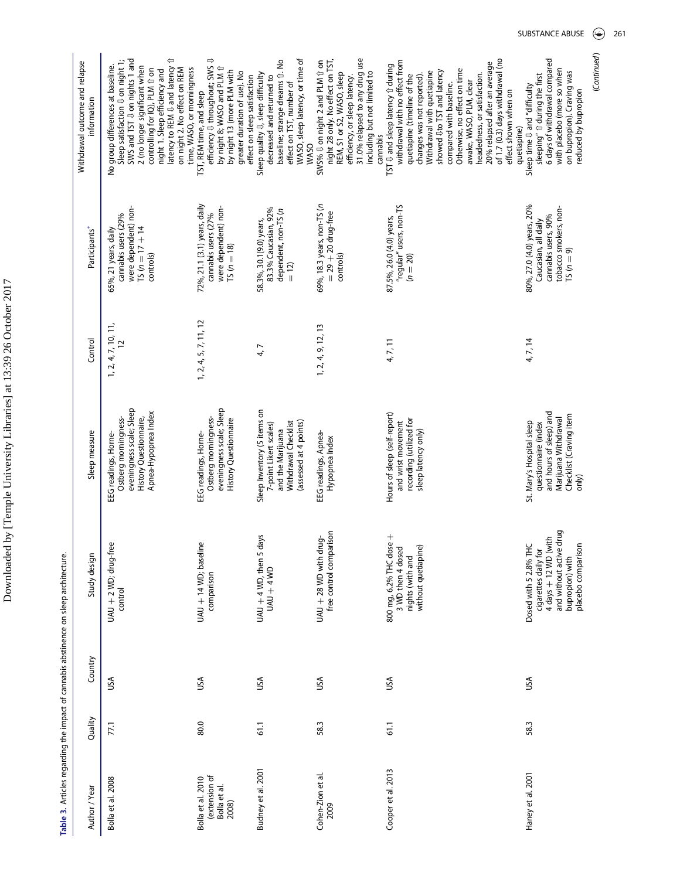Table 3. Articles regarding the impact of cannabis abstinence on sleep architecture. Table 3. Articles regarding the impact of cannabis abstinence on sleep architecture.

<span id="page-7-0"></span>

| Author / Year                                               | Quality | Country | Study design                                                                                                                                                | Sleep measure                                                                                                                            | Control                       | Participants*                                                                                                     | Withdrawal outcome and relapse<br>information                                                                                                                                                                                                                                                                                                                                                                                                      |
|-------------------------------------------------------------|---------|---------|-------------------------------------------------------------------------------------------------------------------------------------------------------------|------------------------------------------------------------------------------------------------------------------------------------------|-------------------------------|-------------------------------------------------------------------------------------------------------------------|----------------------------------------------------------------------------------------------------------------------------------------------------------------------------------------------------------------------------------------------------------------------------------------------------------------------------------------------------------------------------------------------------------------------------------------------------|
| Bolla et al. 2008                                           | 77.1    | υsΑ     | $UAU + 2 WD$ ; drug-free<br>control                                                                                                                         | eveningness scale; Sleep<br>Apnea-Hypopnea Index<br>Ostberg morningness-<br>History Questionnaire,<br>EEG readings, Horne-               | $1, 2, 4, 7, 10, 11,$<br>$12$ | were dependent) non-<br>cannabis users (29%<br>$TS(n = 17 + 14)$<br>65%, 21 years, daily<br>controls)             | SWS and TST $\sqrt{U}$ on nights 1 and<br>⇦<br>Sleep satisfaction $\Downarrow$ on night 1;<br>No group differences at baseline.<br>2 (no longer significant when<br>latency to REM $\updownarrow$ and latency<br>time, WASO, or morningness<br>controlling for IQ), PLM 1 on<br>on night 2. No effect on REM<br>night 1. Sleep efficiency and                                                                                                      |
| (extension of<br>Bolla et al. 2010<br>Bolla et al.<br>2008) | 80.0    | USA     | UAU + 14 WD; baseline<br>comparison                                                                                                                         | eveningness scale; Sleep<br>Ostberg morningness-<br><b>History Questionnaire</b><br>EEG readings, Horne-                                 | 1, 2, 4, 5, 7, 11, 12         | 72%, 21.1 (3.1) years, daily<br>were dependent) non-<br>cannabis users (27%<br>$TS(n = 18)$                       | efficiency ↓ throughout; SWS ↓<br>by night 8; WASO and PLM 1<br>by night 13 (more PLM with<br>greater duration of use). No<br>effect on sleep satisfaction<br>TST, REM time, and sleep                                                                                                                                                                                                                                                             |
| Budney et al. 2001                                          | 61.1    | USA     | UAU + 4 WD, then 5 days<br>$UAU + 4WD$                                                                                                                      | Sleep Inventory (5 items on<br>Withdrawal Checklist<br>(assessed at 4 points)<br>7-point Likert scales)<br>and the Marijuana             | 4,7                           | 83.3% Caucasian, 92%<br>dependent, non-TS (n<br>58.3%, 30.1(9.0) years,<br>$= 12$                                 | WASO, sleep latency, or time of<br>baseline; strange dreams ff. No<br>Sleep quality $\mathbb{U}$ , sleep difficulty<br>decreased and returned to<br>effect on TST, number of<br>WASO                                                                                                                                                                                                                                                               |
| Cohen-Zion et al.<br>2009                                   | 58.3    | USA     | free control comparison<br>່ອຼ່<br>UAU + 28 WD with dr                                                                                                      | EEG readings, Apnea-<br>Hypopnea Index                                                                                                   | 1, 2, 4, 9, 12, 13            | 69%, 18.3 years, non-TS (n<br>$=$ 29 $+$ 20 drug-free<br>controls)                                                | night 28 only. No effect on TST,<br>31.0% relapsed to any drug use<br>SWS% & on night 2 and PLM 1 on<br>including but not limited to<br>REM, S1 or S2, WASO, sleep<br>efficiency, or sleep latency.<br>cannabis                                                                                                                                                                                                                                    |
| Cooper et al. 2013                                          | 61.1    | υsΑ     | 800 mg, 6.2% THC dose +<br>3 WD then 4 dosed<br>without quetiapine)<br>nights (with and                                                                     | Hours of sleep (self-report)<br>recording (utilized for<br>and wrist movement<br>sleep latency only)                                     | 4, 7, 11                      | "regular" users, non-TS<br>87.5%, 26.0 (4.0) years,<br>$(n = 20)$                                                 | of 1.7 (0.3) days withdrawal (no<br>withdrawal with no effect from<br>20% relapsed after an average<br>TST $\overline{v}$ and sleep latency $\hat{v}$ during<br>Otherwise, no effect on time<br>showed Uto TST and latency<br>Withdrawal with quetiapine<br>headedness, or satisfaction.<br>quetiapine (timeline of the<br>changes was not reported).<br>awake, WASO, PLM, clear<br>compared with baseline.<br>effect shown when on<br>quetiapine) |
| Haney et al. 2001                                           | 58.3    | USA     | and without active drug<br>$4 \text{ days} + 12 \text{ WD}$ (with<br>Dosed with 5 2.8% THC<br>placebo comparison<br>cigarettes daily for<br>bupropion) with | and hours of sleep) and<br>Checklist (Craving item<br>Marijuana Withdrawal<br>St. Mary's Hospital sleep<br>questionnaire (index<br>only) | 4, 7, 14                      | 80%, 27.0 (4.0) years, 20%<br>tobacco smokers, non-<br>cannabis users, 90%<br>Caucasian, all daily<br>$TS(n = 9)$ | 6 days of withdrawal compared<br>with placebo (more so when<br>on bupropion). Craving was<br>sleeping" I during the first<br>Sleep time $\theta$ and "difficulty<br>reduced by bupropion                                                                                                                                                                                                                                                           |

(Continued)

(Continued)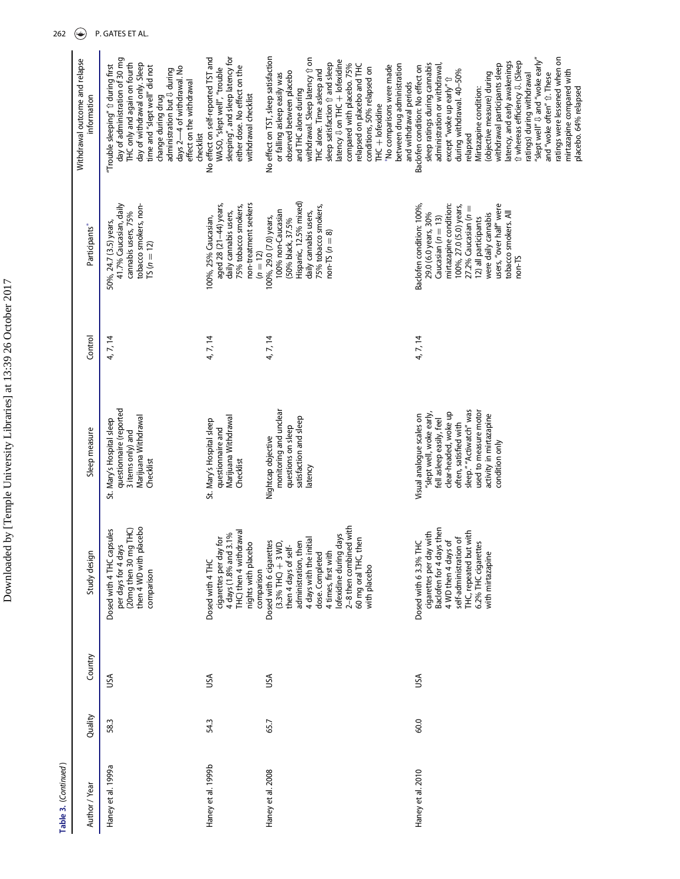| Withdrawal outcome and relapse<br>information | day of administration of 30 mg<br>THC only and again on fourth<br>day of withdrawal only. Sleep<br>"Trouble sleeping" û during first<br>time and "slept well" did not<br>days 2-4 of withdrawal. No<br>administration but U during<br>effect on the withdrawal<br>change during drug<br>checklist | sleeping", and sleep latency for<br>No effect on self-reported TST and<br>either dose. No effect on the<br>WASO, "slept well", "trouble<br>withdrawal checklist | No effect on TST, sleep satisfaction<br>withdrawal. Sleep latency 1 on<br>latency $\downarrow$ on THC + lofexidine<br>sleep satisfaction fr and sleep<br>compared with placebo. 75%<br>between drug administration<br>relapsed on placebo and THC<br>No comparisons were made<br>conditions, 50% relapsed on<br>THC alone. Time asleep and<br>observed between placebo<br>or falling asleep easily was<br>and withdrawal periods<br>and THC alone during<br>$THC + I$ of exidine | ratings were lessened when on<br>"slept well" $\updownarrow$ and "woke early"<br>latency, and early awakenings<br>û whereas efficiency ↓ (Sleep<br>withdrawal participants sleep<br>sleep ratings during cannabis<br>Baclofen condition: No effect on<br>administration or withdrawal<br>during withdrawal. 40-50%<br>mirtazapine compared with<br>(objective measure) during<br>ratings) during withdrawal<br>and "woke often" û. These<br>except "woke up early" $\mathbb{\hat{U}}$<br>Mirtazapine condition:<br>placebo. 64% relapsed<br>relapsed |
|-----------------------------------------------|---------------------------------------------------------------------------------------------------------------------------------------------------------------------------------------------------------------------------------------------------------------------------------------------------|-----------------------------------------------------------------------------------------------------------------------------------------------------------------|----------------------------------------------------------------------------------------------------------------------------------------------------------------------------------------------------------------------------------------------------------------------------------------------------------------------------------------------------------------------------------------------------------------------------------------------------------------------------------|------------------------------------------------------------------------------------------------------------------------------------------------------------------------------------------------------------------------------------------------------------------------------------------------------------------------------------------------------------------------------------------------------------------------------------------------------------------------------------------------------------------------------------------------------|
| Participants*                                 | 41.7% Caucasian, daily<br>tobacco smokers, non-<br>cannabis users, 75%<br>50%, 24.7 (3.5) years,<br>$TS(n = 12)$                                                                                                                                                                                  | non-treatment seekers<br>aged 28 (21-44) years,<br>75% tobacco smokers,<br>daily cannabis users,<br>100%, 25% Caucasian,<br>$(n = 12)$                          | Hispanic, 12.5% mixed)<br>75% tobacco smokers,<br>100% non-Caucasian<br>daily cannabis users,<br>100%, 29.0 (7.0) years,<br>(50% black, 37.5%<br>$non-TS (n = 8)$                                                                                                                                                                                                                                                                                                                | Baclofen condition: 100%,<br>mirtazapine condition:<br>users, "over half" were<br>100%, 27.0 (5.0) years,<br>27.2% Caucasian $(n =$<br>29.0 (6.0 years, 30%<br>tobacco smokers. All<br>were daily cannabis<br>Caucasian ( $n = 13$ )<br>12) all participants<br>$non-TS$                                                                                                                                                                                                                                                                             |
| Control                                       | 4, 7, 14                                                                                                                                                                                                                                                                                          | 4, 7, 14                                                                                                                                                        | 4, 7, 14                                                                                                                                                                                                                                                                                                                                                                                                                                                                         | 4, 7, 14                                                                                                                                                                                                                                                                                                                                                                                                                                                                                                                                             |
| Sleep measure                                 | questionnaire (reported<br>Marijuana Withdrawal<br>St. Mary's Hospital sleep<br>3 items only) and<br>Checklist                                                                                                                                                                                    | Marijuana Withdrawal<br>St. Mary's Hospital sleep<br>questionnaire and<br>Checklist                                                                             | monitoring and unclear<br>satisfaction and sleep<br>questions on sleep<br>Nightcap objective<br>latency                                                                                                                                                                                                                                                                                                                                                                          | sleep." "Actiwatch" was<br>used to measure motor<br>clear-headed, woke up<br>"slept well, woke early,<br>activity in mirtazapine<br>Visual analogue scales on<br>fell asleep easily, feel<br>often, satisfied with<br>condition only                                                                                                                                                                                                                                                                                                                 |
| Study design                                  | (20mg then 30 mg THC)<br>then 4 WD with placebo<br>Dosed with 4 THC capsules<br>per days for 4 days<br>comparison                                                                                                                                                                                 | THC) then 4 withdrawal<br>4 days (1.8% and 3.1%<br>cigarettes per day for<br>nights with placebo<br>Dosed with 4 THC<br>comparison                              | 2-8 then combined with<br>lofexidine during days<br>60 mg oral THC, then<br>4 days with the initial<br>Dosed with 6 cigarettes<br>$(3.3\%$ THC) $+3$ WD,<br>administration, then<br>then 4 days of self-<br>4 times, first with<br>dose. Completed<br>with placebo                                                                                                                                                                                                               | Baclofen for 4 days then<br>THC, repeated but with<br>cigarettes per day with<br>self-administration of<br>4 WD then 4 days of<br>Dosed with 6 3.3% THC<br>G<br>6.2% THC cigarett<br>with mirtazapine                                                                                                                                                                                                                                                                                                                                                |
| Country                                       | ≤€                                                                                                                                                                                                                                                                                                | υsΑ                                                                                                                                                             | υsΑ                                                                                                                                                                                                                                                                                                                                                                                                                                                                              | υsΑ                                                                                                                                                                                                                                                                                                                                                                                                                                                                                                                                                  |
| Quality                                       | 58.3                                                                                                                                                                                                                                                                                              | 54.3                                                                                                                                                            | 65.7                                                                                                                                                                                                                                                                                                                                                                                                                                                                             | 60.0                                                                                                                                                                                                                                                                                                                                                                                                                                                                                                                                                 |
| Author / Year                                 | Haney et al. 1999a                                                                                                                                                                                                                                                                                | Haney et al. 1999b                                                                                                                                              | Haney et al. 2008                                                                                                                                                                                                                                                                                                                                                                                                                                                                | Haney et al. 2010                                                                                                                                                                                                                                                                                                                                                                                                                                                                                                                                    |

> Table 3. (Continued) Table 3. (Continued )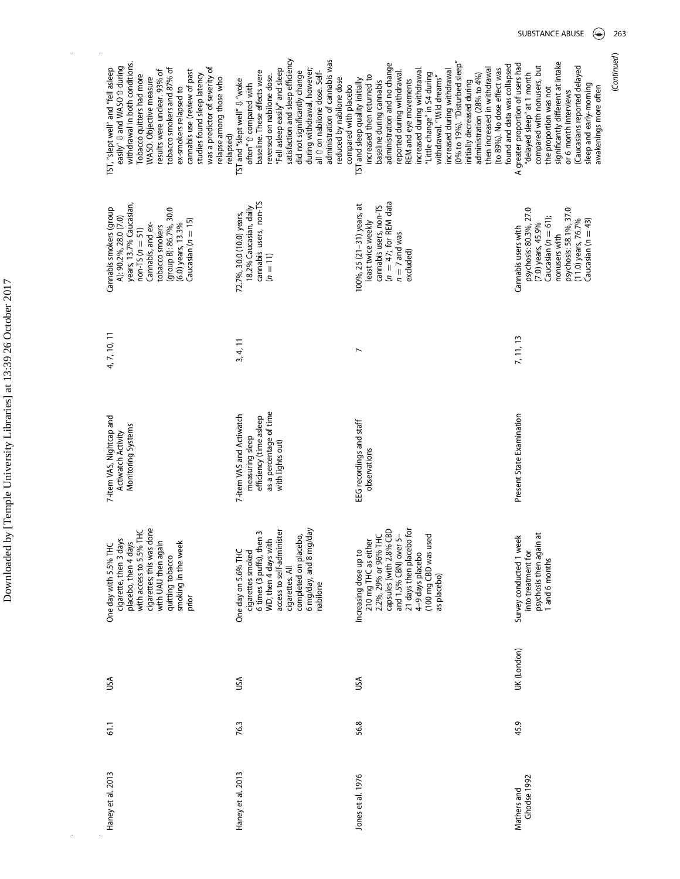| withdrawal in both conditions.<br>easily" <b>U</b> and WASO 1 during<br>was a predictor of severity of<br>TST, "slept well" and "fell asleep<br>tobacco smokers and 87% of<br>cannabis use (review of past<br>results were unclear. 93% of<br>Tobacco quitters had more<br>studies found sleep latency<br>WASO. Objective measure<br>relapse among those who<br>ex-smokers relapsed to<br>relapsed) | satisfaction and sleep efficiency<br>administration of cannabis was<br>"Fell asleep easily" and sleep<br>during withdrawal, however;<br>baseline. These effects were<br>did not significantly change<br>all 1 on nabilone dose. Self-<br>reversed on nabilone dose.<br>reduced by nabilone dose<br>TST and "slept well" $\updownarrow$ "woke<br>often" fr compared with<br>compared with placebo | (0% to 19%). "Disturbed sleep"<br>administration and no change<br>found and data was collapsed<br>then increased in withdrawal<br>to 89%). No dose effect was<br>increased during withdrawal<br>increased during withdrawal<br>reported during withdrawal.<br>"Little change" in S4 during<br>withdrawal. "Wild dreams"<br>administration (28% to 4%)<br>increased then returned to<br>REM and eye movements<br>TST and sleep quality initially<br>baseline during cannabis<br>initially decreased during | significantly different at intake<br>A greater proportion of users had<br>compared with nonusers, but<br>Caucasians reported delayed<br>"delayed sleep" at 1 month<br>sleep and early-morning<br>awakenings more often<br>the proportion was not<br>or 6 month interviews |
|-----------------------------------------------------------------------------------------------------------------------------------------------------------------------------------------------------------------------------------------------------------------------------------------------------------------------------------------------------------------------------------------------------|--------------------------------------------------------------------------------------------------------------------------------------------------------------------------------------------------------------------------------------------------------------------------------------------------------------------------------------------------------------------------------------------------|-----------------------------------------------------------------------------------------------------------------------------------------------------------------------------------------------------------------------------------------------------------------------------------------------------------------------------------------------------------------------------------------------------------------------------------------------------------------------------------------------------------|---------------------------------------------------------------------------------------------------------------------------------------------------------------------------------------------------------------------------------------------------------------------------|
| years, 13.7% Caucasian,<br>(group B): 86.7%, 30.0<br>Cannabis smokers (group<br>A): 90.2%, 28.0 (7.0)<br>Caucasian $(n = 15)$<br>$(6.0)$ years, $13.3%$<br>Cannabis, and ex-<br>tobacco smokers<br>$non-TS (n = 51)$                                                                                                                                                                                | cannabis users, non-TS<br>18.2% Caucasian, daily<br>72.7%, 30.0 (10.0) years,<br>$(n = 11)$                                                                                                                                                                                                                                                                                                      | cannabis users, non-TS<br>$(n = 47;$ for REM data<br>100%, 25 (21-31) years, at<br>least twice weekly<br>$n = 7$ and was<br>excluded)                                                                                                                                                                                                                                                                                                                                                                     | psychosis: 80.3%, 27.0<br>psychosis: 58.1%, 37.0<br>Caucasian $(n = 61)$ ;<br>Caucasian ( $n = 43$ )<br>$(11.0)$ years, 76.7%<br>(7.0) years, 45.9%<br>Cannabis users with<br>nonusers with                                                                               |
| 4, 7, 10, 11                                                                                                                                                                                                                                                                                                                                                                                        | 3, 4, 11                                                                                                                                                                                                                                                                                                                                                                                         | N                                                                                                                                                                                                                                                                                                                                                                                                                                                                                                         | 7, 11, 13                                                                                                                                                                                                                                                                 |
| 7-item VAS, Nightcap and<br>Monitoring Systems<br><b>Actiwatch Activity</b>                                                                                                                                                                                                                                                                                                                         | as a percentage of time<br>7-item VAS and Actiwatch<br>efficiency (time asleep<br>measuring sleep<br>with lights out)                                                                                                                                                                                                                                                                            | EEG recordings and staff<br>observations                                                                                                                                                                                                                                                                                                                                                                                                                                                                  | Present State Examination                                                                                                                                                                                                                                                 |
| cigarettes; this was done<br>with UAU then again<br>with access to 5.5% THC<br>cigarette, then 3 days<br>smoking in the week<br>placebo, then 4 days<br>One day with 5.5% THC<br>quitting tobacco<br>prior                                                                                                                                                                                          | access to self-administer<br>6 mg/day, and 8 mg/day<br>6 times (3 puffs), then 3<br>completed on placebo,<br>WD, then 4 days with<br>One day on 5.6% THC<br>cigarettes smoked<br>cigarettes. All<br>nabilone                                                                                                                                                                                     | capsules (with 2.8% CBD<br>and 1.5% CBN) over 5-<br>21 days then placebo for<br>210 mg THC as either<br>2.2%, 29% or 96% THC<br><b>B</b><br>(100 mg CBD was us<br>Increasing dose up to<br>4-9 days placebo<br>as placebo)                                                                                                                                                                                                                                                                                | psychosis then again at<br>Survey conducted 1 week<br>into treatment for<br>1 and 6 months                                                                                                                                                                                |
| USA                                                                                                                                                                                                                                                                                                                                                                                                 | υsΑ                                                                                                                                                                                                                                                                                                                                                                                              | υsΑ                                                                                                                                                                                                                                                                                                                                                                                                                                                                                                       | UK (London)                                                                                                                                                                                                                                                               |
| 61.1                                                                                                                                                                                                                                                                                                                                                                                                | 76.3                                                                                                                                                                                                                                                                                                                                                                                             | 56.8                                                                                                                                                                                                                                                                                                                                                                                                                                                                                                      | 45.9                                                                                                                                                                                                                                                                      |
| Haney et al. 2013                                                                                                                                                                                                                                                                                                                                                                                   | Haney et al. 2013                                                                                                                                                                                                                                                                                                                                                                                | Jones et al. 1976                                                                                                                                                                                                                                                                                                                                                                                                                                                                                         | Ghodse 1992<br>Mathers and                                                                                                                                                                                                                                                |

(Continued)

(Continued)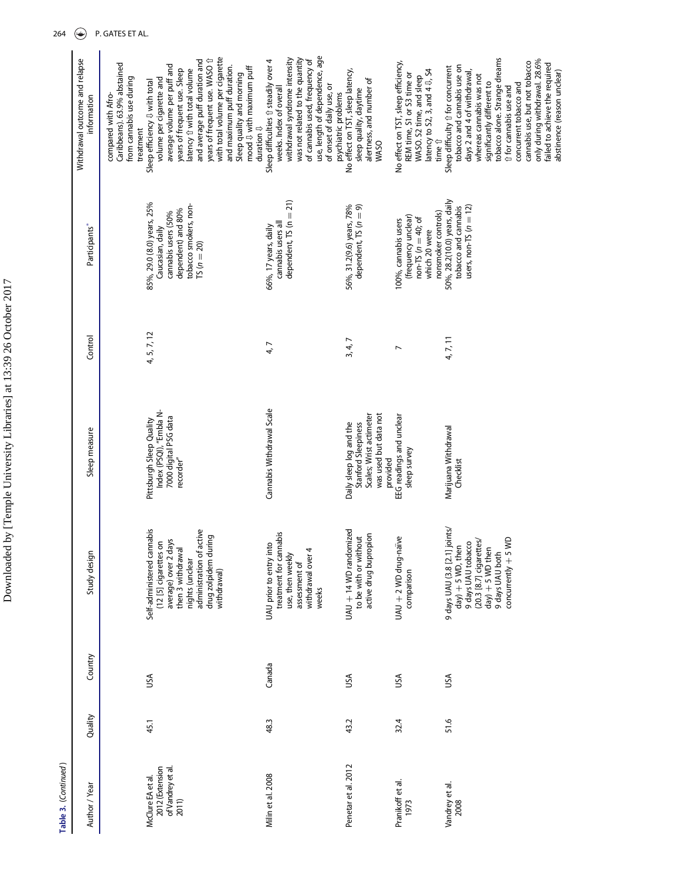| Table 3. (Continued)                                               |         |         |                                                                                                                                                                                        |                                                                                                                |                |                                                                                                                                      |                                                                                                                                                                                                                                                                                                                                                                                   |
|--------------------------------------------------------------------|---------|---------|----------------------------------------------------------------------------------------------------------------------------------------------------------------------------------------|----------------------------------------------------------------------------------------------------------------|----------------|--------------------------------------------------------------------------------------------------------------------------------------|-----------------------------------------------------------------------------------------------------------------------------------------------------------------------------------------------------------------------------------------------------------------------------------------------------------------------------------------------------------------------------------|
| Author / Year                                                      | Quality | Country | Study design                                                                                                                                                                           | Sleep measure                                                                                                  | Control        | Participants*                                                                                                                        | Withdrawal outcome and relapse<br>information                                                                                                                                                                                                                                                                                                                                     |
|                                                                    |         |         |                                                                                                                                                                                        |                                                                                                                |                |                                                                                                                                      | Caribbeans). 63.9% abstained<br>from cannabis use during<br>compared with Afro-<br>treatment                                                                                                                                                                                                                                                                                      |
| 2012 (Extension<br>of Vandrey et al.<br>McClure EA et al.<br>2011) | 45.1    | USA     | Self-administered cannabis<br>administration of active<br>drug zolpidem during<br>(12 [5] cigarettes on<br>average) over 2 days<br>then 3 withdrawal<br>nights (unclear<br>withdrawal) | Index (PSQI), "Embla N-<br>7000 digital PSG data<br>Pittsburgh Sleep Quality<br>recorder"                      | 4, 5, 7, 12    | 85%, 29.0 (8.0) years, 25%<br>tobacco smokers, non-<br>dependent) and 80%<br>cannabis users (50%<br>Caucasian, daily<br>$TS(n = 20)$ | with total volume per cigarette<br>and average puff duration and<br>years of frequent use. WASO 1<br>average volume per puff and<br>and maximum puff duration.<br>latency 1 with total volume<br>years of frequent use. Sleep<br>volume per cigarette and<br>Sleep efficiency $\Downarrow$ with total                                                                             |
|                                                                    |         |         |                                                                                                                                                                                        |                                                                                                                |                |                                                                                                                                      | mood $\sqrt{U}$ with maximum puff<br>Sleep quality and morning<br>duration $\mathbb U$                                                                                                                                                                                                                                                                                            |
| Milin et al. 2008                                                  | 48.3    | Canada  | treatment for cannabis<br>UAU prior to entry into<br>withdrawal over 4<br>use, then weekly<br>assessment of<br>weeks                                                                   | Cannabis Withdrawal Scale                                                                                      | 4, 7           | dependent, $TS(n = 21)$<br>cannabis users all<br>66%, 17 years, daily                                                                | use, length of dependence, age<br>was not related to the quantity<br>withdrawal syndrome intensity<br>of cannabis used, frequency of<br>Sleep difficulties 13 steadily over 4<br>of onset of daily use, or<br>weeks. Index of overall<br>psychiatric problems                                                                                                                     |
| Penetar et al. 2012                                                | 43.2    | USA     | UAU + 14 WD randomized<br>active drug bupropion<br>to be with or without                                                                                                               | was used but data not<br>Scales; Wrist actimeter<br>Daily sleep log and the<br>Stanford Sleepiness<br>provided | 3, 4, 7        | 56%, 31.2(9.6) years, 78%<br>dependent, $TS(n = 9)$                                                                                  | No effect on TST, sleep latency,<br>alertness, and number of<br>sleep quality, daytime<br>WASO                                                                                                                                                                                                                                                                                    |
| Pranikoff et al.<br>1973                                           | 32.4    | USA     | UAU + 2 WD drug-naïve<br>comparison                                                                                                                                                    | EEG readings and unclear<br>sleep survey                                                                       | $\overline{ }$ | nonsmoker controls)<br>(frequency unclear)<br>$non-TS (n = 40; of$<br>100%, cannabis users<br>which 20 were                          | No effect on TST, sleep efficiency,<br>latency to S2, 3, and $4 \sqrt{3}$ , S4<br>REM time, S1 or S3 time or<br>WASO. S2 time, and sleep<br>time $\hat{U}$                                                                                                                                                                                                                        |
| Vandrey et al.<br>2008                                             | 51.6    | υsΑ     | 9 days UAU (3.8 [2.1] joints/<br>$concurrenty + 5 WD$<br>9 days UAU tobacco<br>(20.3 [8.7] cigarettes/<br>$day) + 5$ WD, then<br>$day) + 5$ WD then<br>9 days UAU both                 | Marijuana Withdrawal<br>Checklist                                                                              | 4, 7, 11       | 50%, 28.2(10.0) years, daily<br>users, non-TS $(n = 12)$<br>tobacco and cannabis                                                     | tobacco alone. Strange dreams<br>only during withdrawal. 28.6%<br>cannabis use, but not tobacco<br>failed to achieve the required<br>tobacco and cannabis use on<br>Sleep difficulty 1 for concurrent<br>days 2 and 4 of withdrawal,<br>abstinence (reason unclear)<br>whereas cannabis was not<br>significantly different to<br>concurrent tobacco and<br>↑ for cannabis use and |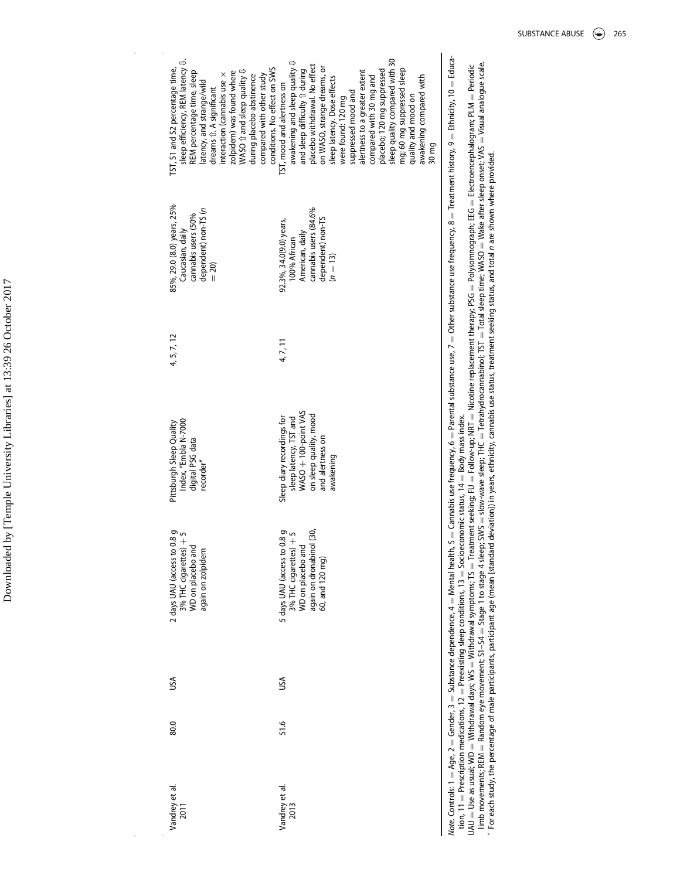sleep efficiency, REM latency  $\downarrow$ . sleep quality compared with 30 sleep quality compared with 30 sleep efficiency, REM latency ⇩. awakening and sleep quality  $\updownarrow$ awakening and sleep quality  $\Downarrow$ and sleep difficulty  $\hat{v}$  during<br>placebo withdrawal. No effect<br>on WASO, strange dreams, or placebo withdrawal. No effect TST, S1 and S2 percentage time, during placebo-abstinence<br>compared with other study<br>conditions. No effect on SWS on WASO, strange dreams, or mg; 60 mg suppressed sleep TST, S1 and S2 percentage time, zolpidem) was found where<br>WASO  $\hat{u}$  and sleep quality  $\hat{u}$ conditions. No effect on SWS placebo; 120 mg suppressed mg; 60 mg suppressed sleep REM percentage time, sleep WASO  $@$  and sleep quality  $@$ and sleep difficulty  $@$  during suppressed mood and<br>alertness to a greater extent alertness to a greater extent placebo; 120 mg suppressed REM percentage time, sleep interaction (cannabis use  $\times$ zolpidem) was found where interaction (cannabis use  $\times$ compared with other study awakening compared with sleep latency. Dose effects<br>were found: 120 mg compared with 30 mg and during placebo-abstinence compared with 30 mg and awakening compared with sleep latency. Dose effects latency, and strange/wild<br>dreams fr. A significant latency, and strange/wild TST, mood and alertness on TST, mood and alertness on dreams ⇧. A significant suppressed mood and quality and mood on quality and mood on were found: 120 mg 30 mg 85%, 29.0 (8.0) years, 25% 4, 5, 7, 12 85%, 29.0 (8.0) years, 25% cannabis users (84.6% dependent) non-TS (n cannabis users (84.6% cannabis users (50% cannabis users (50% dependent) non-TS<br> $(n = 13)$ 92.3%, 34.0(9.0) years,<br>100% African dependent) non-TS 4, 7, 11 92.3%, 34.0(9.0) years, Caucasian, daily Caucasian, daily American, daily American, daily 100% African  $= 20$ 4, 5, 7, 12 4, 7, 11 Sleep diary recordings for<br>sleep latency, TST and<br>WASO + 100-point VAS Pittsburgh Sleep Quality<br>Index, "Embla N-7000<br>digital PSG data<br>recorder"  $WASO + 100$ -point VAS on sleep quality, mood<br>and alertness on on sleep quality, mood Sleep diary recordings for sleep latency, TST and Index, "Embla N-7000 Pittsburgh Sleep Quality and alertness on digital PSG data awakening 2 days UAU (access to 0.8 g<br>3% THC cigarettes) + 5<br>WD on placebo and again on dronabinol (30, 5 days UAU (access to 0.8 g<br>3% THC cigarettes) + 5 again on dronabinol (30, 80.0 USA 2 days UAU (access to 0.8 g 51.6 USA 5 days UAU (access to 0.8 g 3% THC cigarettes)  $+$  5 3% THC cigarettes)  $+$  5 WD on placebo and WD on placebo and WD on placebo and again on zolpidem again on zolpidem 60, and 120 mg) 60, and 120 mg) USA USA 80.0 51.6 Vandrey et al.<br>2011 Vandrey et al.<br>2013 Vandrey et al. Vandrey et al.

Vote. Controls: 1 = Age, 2 = Gender, 3 = Substance dependence, 4 = Mental health, 5 = Cannabis use frequency, 6 = Parental substance use, 7 = Other substance use frequency, 8 = Treatment history, 9 = Ethnicity, 10 = Educa Note. Controls: 1 = Age, 2 = Gubstance dependence, 4 = Mental health, 5 = Cannabis use frequency, 6 = Parental substance use, 7 = Other substance use frequency, 8 = Treatment history, 9 = Ethnicity, 10 = Educa-

tion, 11  $=$  Prescription medications, 12  $=$  Preexisting sleep conditions, 13  $=$  Socioeconomic status, 14  $=$  Body mass index.  ${\tt UAU}= {\tt Wifhddawal}\; days; {\tt W3} = {\tt Wifhddawal}\; sympton density; \tt{TS} = Theatment\; see\; 500\% \; with\; 500\% \; with\; 500\% \; with\; 500\% \; with\; 500\% \; with\; 500\% \; with\; 500\% \; with\; 500\% \; with\; 500\% \; with\; 500\% \; with\; 500\% \; with\; 500\% \; with\; 500\% \; with\; 500\% \; with\; 500\% \; with\; 500$ limb movements; REM = Random eye movement; S1–S4 = Stage 1 to stage 4 sleep; SWS = slow-wave sleep; ThC D Tetrahydrocannabinol; TST = Total sleep time; WASO = Wake after sleep onset; VAS = Visual analogue scale. tion, 11 = Prescription medications, 12 = Preexisting sleep conditions, 13 = Socioeconomic status, 14 = Body mass index.<br>UAU = Use as usual; WD = Withdrawal days; WS = Withdrawal symptoms; TS = Treatment seeking; FU = Foll

 $^*$  For each study, the percentage of male participants, participant age (mean [standard deviation]) in years, ethnicity, cannabis use status, treatment seeking status, and total n are shown where provided.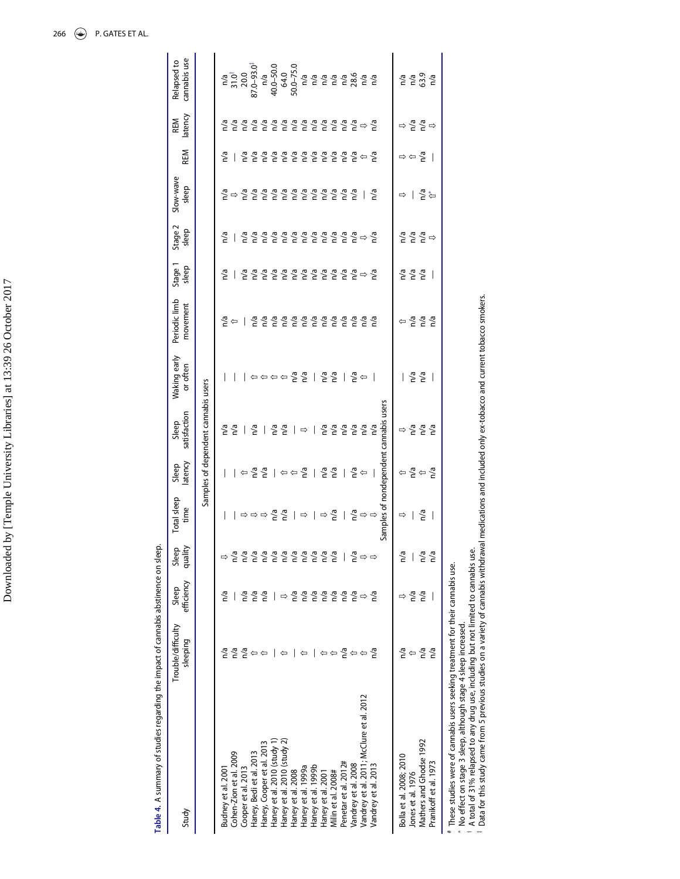| しこく                                                                  |
|----------------------------------------------------------------------|
| ļ<br>i,                                                              |
| .<br>י                                                               |
| こうこう                                                                 |
| ر<br>ا                                                               |
| ١<br>l<br>I                                                          |
| ֧ׅ֧ׅ֧֧ׅ֧ׅ֧ׅ֧֧ׅ֧ׅ֧֧֧֚֚֚֚֚֚֚֚֚֚֚֚֚֚֚֚֚֚֚֚֚֚֚֚֚֚֚֚֚֡֝֜֝֜֓֝֓֜֓֜֜֝֬֜֜֝֬֝֬ |
| $\sim$<br>l<br>ļ                                                     |
| <br> <br>                                                            |
| į                                                                    |
| ļ                                                                    |

Table 4. A summary of studies regarding the impact of cannabis abstinence on sleep. Table 4. A summary of studies regarding the impact of cannabis abstinence on sleep.

<span id="page-12-0"></span>

| Study                                                                                                                                                                                                                                                                                                                                        | Trouble/difficulty<br>sleeping      | efficiency<br>Sleep      | Sleep<br>quality            | Total sleep<br>time                     | latency<br>Sleep                                                                                                                    | satisfaction<br>Sleep                  | Waking early<br>or often                                                                            | Periodic limb<br>movement | Stage 1<br>sleep                          | Stage 2<br>sleep                                                      | Slow-wave<br>sleep                    | REM                                           | latency<br><b>REM</b>                             | cannabis use<br>Relapsed to                                                                             |
|----------------------------------------------------------------------------------------------------------------------------------------------------------------------------------------------------------------------------------------------------------------------------------------------------------------------------------------------|-------------------------------------|--------------------------|-----------------------------|-----------------------------------------|-------------------------------------------------------------------------------------------------------------------------------------|----------------------------------------|-----------------------------------------------------------------------------------------------------|---------------------------|-------------------------------------------|-----------------------------------------------------------------------|---------------------------------------|-----------------------------------------------|---------------------------------------------------|---------------------------------------------------------------------------------------------------------|
|                                                                                                                                                                                                                                                                                                                                              |                                     |                          |                             |                                         |                                                                                                                                     | Samples of dependent cannabis users    |                                                                                                     |                           |                                           |                                                                       |                                       |                                               |                                                   |                                                                                                         |
| Budney et al. 2001                                                                                                                                                                                                                                                                                                                           |                                     | n/a                      |                             | T                                       | $\mathbf{I}$                                                                                                                        | n/a                                    |                                                                                                     | n/a                       | n/a                                       | n/a                                                                   |                                       | n/a                                           | n/a                                               |                                                                                                         |
| Cohen-Zion et al. 2009                                                                                                                                                                                                                                                                                                                       | n/a                                 |                          |                             |                                         |                                                                                                                                     | n/a                                    |                                                                                                     | ⇦                         |                                           |                                                                       | $\frac{1}{6} \Rightarrow \frac{1}{6}$ |                                               | n/a                                               | $10^{14}$<br>31.0 <sup>1</sup><br>20.0<br>87.0-93.0 <sup>1</sup><br>40.0-50.0<br>40.0-50.0<br>50.0-75.0 |
| Cooper et al. 2013                                                                                                                                                                                                                                                                                                                           | n/a                                 | n/a                      | n/a                         |                                         |                                                                                                                                     |                                        |                                                                                                     |                           | n/a                                       | n/a                                                                   |                                       |                                               |                                                   |                                                                                                         |
| Haney, Bedi et al. 2013                                                                                                                                                                                                                                                                                                                      |                                     | n/a                      | n/a                         | । ⇨⇨⇨ ≧ ≧                               | $ \Leftrightarrow$ $\frac{8}{5}$ $ \Leftrightarrow$ $\frac{8}{5}$ $ \Leftrightarrow$ $\frac{8}{5}$ $ \Leftrightarrow$ $\frac{8}{5}$ | n/a                                    | $\Leftrightarrow$ $\Leftrightarrow$ $\Leftrightarrow$ $\Leftrightarrow$ $\frac{a}{b}$ $\frac{c}{c}$ | n/a                       | n/a                                       | $\frac{a}{n}$                                                         | $\frac{5}{2}$                         | $\frac{6}{5}$ $\frac{6}{5}$                   | $\frac{a}{b}$ $\frac{a}{c}$                       |                                                                                                         |
| Haney, Cooper et al. 2013                                                                                                                                                                                                                                                                                                                    |                                     | n/a                      | n/a                         |                                         |                                                                                                                                     | $\overline{1}$                         |                                                                                                     | n/a                       |                                           |                                                                       |                                       |                                               |                                                   |                                                                                                         |
| Haney et al. 2010 (study 1)                                                                                                                                                                                                                                                                                                                  |                                     |                          | n/a                         |                                         |                                                                                                                                     | n/a                                    |                                                                                                     |                           |                                           |                                                                       |                                       |                                               |                                                   |                                                                                                         |
| Haney et al. 2010 (study 2)                                                                                                                                                                                                                                                                                                                  |                                     | $\Rightarrow$            | n/a                         |                                         |                                                                                                                                     | n/a                                    |                                                                                                     | n <sup>a</sup><br>Na      |                                           |                                                                       |                                       |                                               |                                                   |                                                                                                         |
| Haney et al. 2008                                                                                                                                                                                                                                                                                                                            |                                     | n/a                      | n/a                         |                                         |                                                                                                                                     | $\mathbf{I}$                           |                                                                                                     | n/a                       | <u> 올 을 올 을 올 을 올 올</u>                   | [올 즐 즐 즐 즐 즐 즐 즐 즐 <del>즐</del> 즐 즐                                   | <u> 줄 줄 줄 줄 줄 줄 줄</u>                 |                                               | [몰 몰 몰 몰 몰 몰 몰 몰 골 골                              |                                                                                                         |
| Haney et al. 1999a                                                                                                                                                                                                                                                                                                                           |                                     | n/a                      | n/a                         | $ \Rightarrow  \Rightarrow \frac{1}{6}$ |                                                                                                                                     | $\Rightarrow$                          |                                                                                                     | n/a                       |                                           |                                                                       |                                       |                                               |                                                   |                                                                                                         |
| Haney et al. 1999b                                                                                                                                                                                                                                                                                                                           |                                     | n/a                      | n/a                         |                                         |                                                                                                                                     | $\overline{\phantom{a}}$               |                                                                                                     | n/a                       |                                           |                                                                       |                                       |                                               |                                                   |                                                                                                         |
| Haney et al. 2001                                                                                                                                                                                                                                                                                                                            |                                     | n/a                      | n/a                         |                                         |                                                                                                                                     |                                        | $ \frac{2}{5}$ $\frac{2}{5}$                                                                        | n/a                       |                                           |                                                                       |                                       |                                               |                                                   |                                                                                                         |
| Milin et al. 2008#                                                                                                                                                                                                                                                                                                                           | $\Leftrightarrow$ $\Leftrightarrow$ | n/a                      | n/a                         |                                         |                                                                                                                                     | n <sup>a</sup><br>Na                   |                                                                                                     | n/a                       |                                           |                                                                       |                                       |                                               |                                                   |                                                                                                         |
| Penetar et al. 2012#                                                                                                                                                                                                                                                                                                                         | n/a                                 | n/a                      |                             | $\overline{\phantom{a}}$                | $\mathbf{I}$                                                                                                                        | n/a                                    | $\mathbf{I}$                                                                                        | n/a                       |                                           |                                                                       |                                       |                                               |                                                   |                                                                                                         |
| Vandrey et al. 2008                                                                                                                                                                                                                                                                                                                          | $\Leftrightarrow$                   | n/a                      | n/a                         |                                         |                                                                                                                                     | n/a                                    | $\frac{1}{6}$                                                                                       | n <sup>a</sup><br>Na      |                                           |                                                                       | n/a                                   |                                               |                                                   |                                                                                                         |
| Vandrey et al. 2011; McClure et al. 2012                                                                                                                                                                                                                                                                                                     |                                     | $\Rightarrow$            | $\Rightarrow$ $\Rightarrow$ | $\frac{1}{6} \Rightarrow \Rightarrow$   | $\frac{1}{6}$                                                                                                                       | $\frac{6}{6}$                          |                                                                                                     |                           | $\frac{1}{6}$ $\Rightarrow$ $\frac{1}{6}$ |                                                                       |                                       |                                               |                                                   |                                                                                                         |
| Vandrey et al. 2013                                                                                                                                                                                                                                                                                                                          | n⁄a                                 | n/a                      |                             |                                         |                                                                                                                                     |                                        |                                                                                                     | n/a                       |                                           |                                                                       | n/a                                   |                                               |                                                   |                                                                                                         |
|                                                                                                                                                                                                                                                                                                                                              |                                     |                          |                             |                                         |                                                                                                                                     | Samples of nondependent cannabis users |                                                                                                     |                           |                                           |                                                                       |                                       |                                               |                                                   |                                                                                                         |
| Bolla et al. 2008; 2010                                                                                                                                                                                                                                                                                                                      | n/a                                 |                          | n/a                         | $\Rightarrow$                           |                                                                                                                                     | ⇨                                      |                                                                                                     | ⇦                         | n/a                                       |                                                                       | $\Rightarrow$                         |                                               |                                                   |                                                                                                         |
| Jones et al. 1976                                                                                                                                                                                                                                                                                                                            | ⇦                                   | n/a                      |                             | L                                       |                                                                                                                                     |                                        |                                                                                                     |                           | $\frac{a}{b}$                             |                                                                       | $\mathbf{I}$                          | $\Rightarrow$ $\Leftrightarrow$ $\frac{5}{6}$ |                                                   |                                                                                                         |
| Mathers and Ghodse 1992                                                                                                                                                                                                                                                                                                                      | n/a                                 | n/a                      | n/a                         | n/a                                     | $\Leftrightarrow \frac{1}{2} \Leftrightarrow \frac{1}{2}$                                                                           | $\frac{6}{6}$ $\frac{6}{6}$            | $\frac{a}{b}$                                                                                       | $\frac{6}{6}$             |                                           | $\frac{1}{6}$ $\frac{1}{6}$ $\frac{1}{6}$ $\frac{1}{6}$ $\Rightarrow$ | n"a<br>G*                             |                                               | $\Rightarrow \frac{1}{6} \frac{1}{6} \Rightarrow$ | $\frac{6}{5}$ $\frac{6}{3}$                                                                             |
| Pranikoff et al. 1973                                                                                                                                                                                                                                                                                                                        | n/a                                 | $\overline{\phantom{a}}$ | n/a                         | $\overline{\phantom{a}}$                |                                                                                                                                     |                                        | $\overline{\phantom{a}}$                                                                            | n/a                       | $\overline{\phantom{a}}$                  |                                                                       |                                       | $\overline{\phantom{a}}$                      |                                                   | n/a                                                                                                     |
| A total of 31% relapsed to any drug use, including but not limited to cannabis use.<br>. Details this study come from Empirical constant on a straight of come of continuity of $\tau$<br># These studies were of cannabis users seeking treatment for their cannabis use.<br>* No effect on stage 3 sleep, although stage 4 sleep increased |                                     |                          |                             |                                         |                                                                                                                                     |                                        |                                                                                                     |                           |                                           |                                                                       |                                       |                                               |                                                   |                                                                                                         |

Data for this study came from 5 previous studies on a variety of cannabis withdrawal medications and included only ex-tobacco and current tobacco smokers.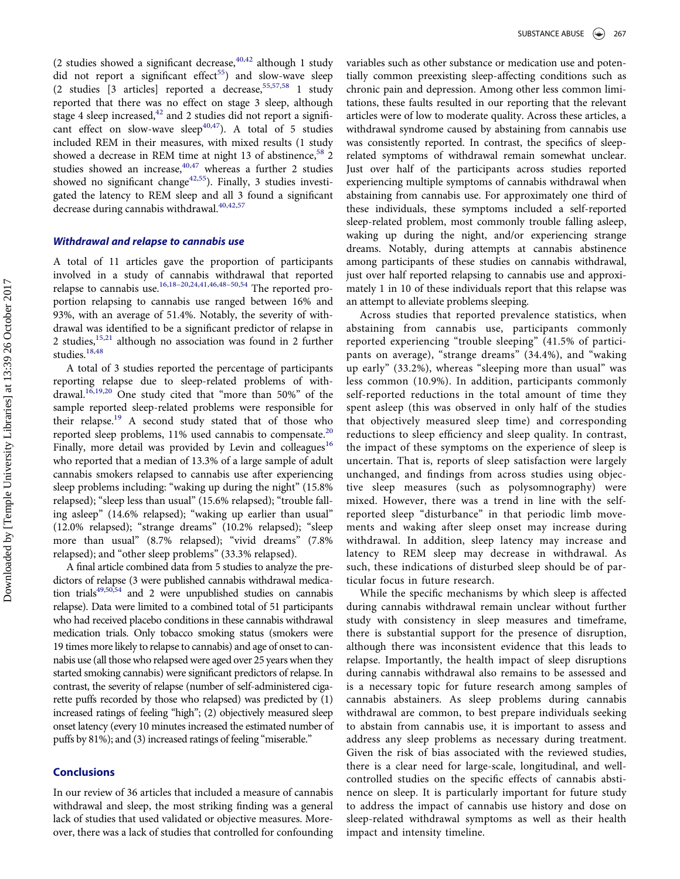(2 studies showed a significant decrease,  $40,42$  $40,42$  $40,42$  although 1 study did not report a significant effect<sup>55</sup>) and slow-wave sleep (2 studies [3 articles] reported a decrease,[55](#page-15-10),[57,](#page-15-6)[58](#page-15-7) 1 study reported that there was no effect on stage 3 sleep, although stage 4 sleep increased, $42$  and 2 studies did not report a signifi-cant effect on slow-wave sleep<sup>[40,](#page-14-24)[47](#page-15-9)</sup>). A total of 5 studies included REM in their measures, with mixed results (1 study showed a decrease in REM time at night 13 of abstinence,  $58\,2$  $58\,2$ studies showed an increase, $40,47$  $40,47$  whereas a further 2 studies showed no significant change<sup>[42](#page-14-25),55</sup>). Finally, 3 studies investigated the latency to REM sleep and all 3 found a significant decrease during cannabis withdrawal.<sup>[40,](#page-14-24)[42](#page-14-25),[57](#page-15-6)</sup>

#### Withdrawal and relapse to cannabis use

A total of 11 articles gave the proportion of participants involved in a study of cannabis withdrawal that reported relapse to cannabis use.[16](#page-14-14),18–[20,](#page-14-15)[24](#page-14-16),[41](#page-14-17)[,46](#page-15-0),48–[50,](#page-15-1)[54](#page-15-2) The reported proportion relapsing to cannabis use ranged between 16% and 93%, with an average of 51.4%. Notably, the severity of withdrawal was identified to be a significant predictor of relapse in 2 studies,<sup>[15,](#page-14-8)[21](#page-14-18)</sup> although no association was found in 2 further studies.<sup>[18](#page-14-15)[,48](#page-15-1)</sup>

A total of 3 studies reported the percentage of participants reporting relapse due to sleep-related problems of withdrawal. $16,19,20$  $16,19,20$  $16,19,20$  $16,19,20$  One study cited that "more than 50%" of the sample reported sleep-related problems were responsible for their relapse.<sup>[19](#page-14-20)</sup> A second study stated that of those who reported sleep problems,  $11\%$  used cannabis to compensate.<sup>[20](#page-14-28)</sup> Finally, more detail was provided by Levin and colleagues<sup>[16](#page-14-14)</sup> who reported that a median of 13.3% of a large sample of adult cannabis smokers relapsed to cannabis use after experiencing sleep problems including: "waking up during the night" (15.8% relapsed); "sleep less than usual" (15.6% relapsed); "trouble falling asleep" (14.6% relapsed); "waking up earlier than usual" (12.0% relapsed); "strange dreams" (10.2% relapsed); "sleep more than usual" (8.7% relapsed); "vivid dreams" (7.8% relapsed); and "other sleep problems" (33.3% relapsed).

A final article combined data from 5 studies to analyze the predictors of relapse (3 were published cannabis withdrawal medication trial[s49](#page-15-12)[,50](#page-15-14)[,54](#page-15-2) and 2 were unpublished studies on cannabis relapse). Data were limited to a combined total of 51 participants who had received placebo conditions in these cannabis withdrawal medication trials. Only tobacco smoking status (smokers were 19 times more likely to relapse to cannabis) and age of onset to cannabis use (all those who relapsed were aged over 25 years when they started smoking cannabis) were significant predictors of relapse. In contrast, the severity of relapse (number of self-administered cigarette puffs recorded by those who relapsed) was predicted by (1) increased ratings of feeling "high"; (2) objectively measured sleep onset latency (every 10 minutes increased the estimated number of puffs by 81%); and (3) increased ratings of feeling "miserable."

#### **Conclusions**

In our review of 36 articles that included a measure of cannabis withdrawal and sleep, the most striking finding was a general lack of studies that used validated or objective measures. Moreover, there was a lack of studies that controlled for confounding variables such as other substance or medication use and potentially common preexisting sleep-affecting conditions such as chronic pain and depression. Among other less common limitations, these faults resulted in our reporting that the relevant articles were of low to moderate quality. Across these articles, a withdrawal syndrome caused by abstaining from cannabis use was consistently reported. In contrast, the specifics of sleeprelated symptoms of withdrawal remain somewhat unclear. Just over half of the participants across studies reported experiencing multiple symptoms of cannabis withdrawal when abstaining from cannabis use. For approximately one third of these individuals, these symptoms included a self-reported sleep-related problem, most commonly trouble falling asleep, waking up during the night, and/or experiencing strange dreams. Notably, during attempts at cannabis abstinence among participants of these studies on cannabis withdrawal, just over half reported relapsing to cannabis use and approximately 1 in 10 of these individuals report that this relapse was an attempt to alleviate problems sleeping.

Across studies that reported prevalence statistics, when abstaining from cannabis use, participants commonly reported experiencing "trouble sleeping" (41.5% of participants on average), "strange dreams" (34.4%), and "waking up early" (33.2%), whereas "sleeping more than usual" was less common (10.9%). In addition, participants commonly self-reported reductions in the total amount of time they spent asleep (this was observed in only half of the studies that objectively measured sleep time) and corresponding reductions to sleep efficiency and sleep quality. In contrast, the impact of these symptoms on the experience of sleep is uncertain. That is, reports of sleep satisfaction were largely unchanged, and findings from across studies using objective sleep measures (such as polysomnography) were mixed. However, there was a trend in line with the selfreported sleep "disturbance" in that periodic limb movements and waking after sleep onset may increase during withdrawal. In addition, sleep latency may increase and latency to REM sleep may decrease in withdrawal. As such, these indications of disturbed sleep should be of particular focus in future research.

While the specific mechanisms by which sleep is affected during cannabis withdrawal remain unclear without further study with consistency in sleep measures and timeframe, there is substantial support for the presence of disruption, although there was inconsistent evidence that this leads to relapse. Importantly, the health impact of sleep disruptions during cannabis withdrawal also remains to be assessed and is a necessary topic for future research among samples of cannabis abstainers. As sleep problems during cannabis withdrawal are common, to best prepare individuals seeking to abstain from cannabis use, it is important to assess and address any sleep problems as necessary during treatment. Given the risk of bias associated with the reviewed studies, there is a clear need for large-scale, longitudinal, and wellcontrolled studies on the specific effects of cannabis abstinence on sleep. It is particularly important for future study to address the impact of cannabis use history and dose on sleep-related withdrawal symptoms as well as their health impact and intensity timeline.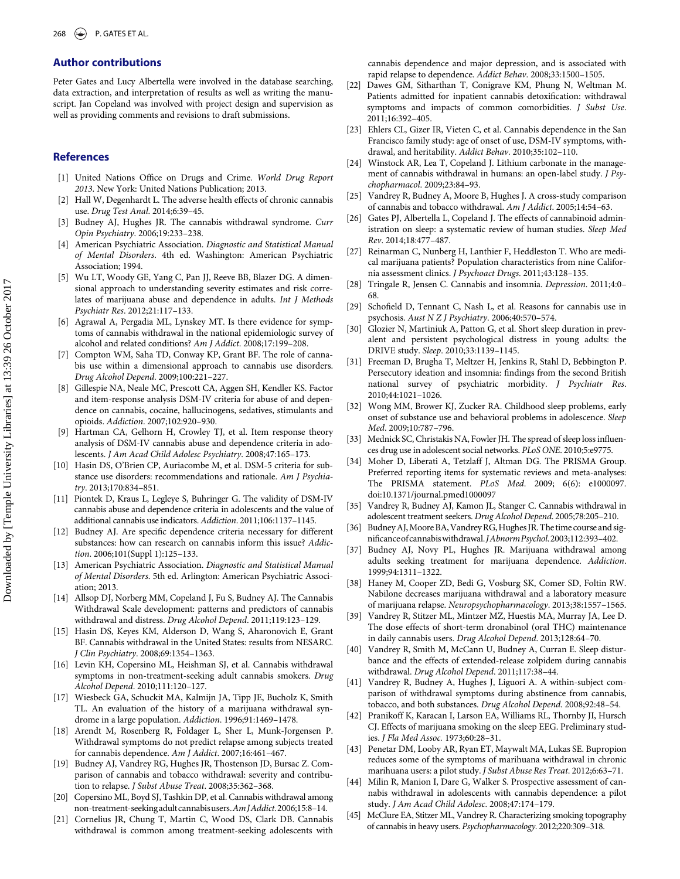#### Author contributions

Peter Gates and Lucy Albertella were involved in the database searching, data extraction, and interpretation of results as well as writing the manuscript. Jan Copeland was involved with project design and supervision as well as providing comments and revisions to draft submissions.

#### <span id="page-14-16"></span><span id="page-14-0"></span>**References**

- [1] United Nations Office on Drugs and Crime. World Drug Report 2013. New York: United Nations Publication; 2013.
- <span id="page-14-1"></span>[2] Hall W, Degenhardt L. The adverse health effects of chronic cannabis use. Drug Test Anal. 2014;6:39–45.
- <span id="page-14-9"></span><span id="page-14-2"></span>[3] Budney AJ, Hughes JR. The cannabis withdrawal syndrome. Curr Opin Psychiatry. 2006;19:233–238.
- <span id="page-14-10"></span><span id="page-14-3"></span>[4] American Psychiatric Association. Diagnostic and Statistical Manual of Mental Disorders. 4th ed. Washington: American Psychiatric Association; 1994.
- <span id="page-14-4"></span>[5] Wu LT, Woody GE, Yang C, Pan JJ, Reeve BB, Blazer DG. A dimensional approach to understanding severity estimates and risk correlates of marijuana abuse and dependence in adults. Int J Methods Psychiatr Res. 2012;21:117–133.
- <span id="page-14-11"></span><span id="page-14-7"></span>[6] Agrawal A, Pergadia ML, Lynskey MT. Is there evidence for symptoms of cannabis withdrawal in the national epidemiologic survey of alcohol and related conditions? Am J Addict. 2008;17:199–208.
- [7] Compton WM, Saha TD, Conway KP, Grant BF. The role of cannabis use within a dimensional approach to cannabis use disorders. Drug Alcohol Depend. 2009;100:221–227.
- [8] Gillespie NA, Neale MC, Prescott CA, Aggen SH, Kendler KS. Factor and item-response analysis DSM-IV criteria for abuse of and dependence on cannabis, cocaine, hallucinogens, sedatives, stimulants and opioids. Addiction. 2007;102:920–930.
- [9] Hartman CA, Gelhorn H, Crowley TJ, et al. Item response theory analysis of DSM-IV cannabis abuse and dependence criteria in adolescents. J Am Acad Child Adolesc Psychiatry. 2008;47:165–173.
- <span id="page-14-23"></span>[10] Hasin DS, O'Brien CP, Auriacombe M, et al. DSM-5 criteria for substance use disorders: recommendations and rationale. Am J Psychiatry. 2013;170:834–851.
- <span id="page-14-12"></span>[11] Piontek D, Kraus L, Legleye S, Buhringer G. The validity of DSM-IV cannabis abuse and dependence criteria in adolescents and the value of additional cannabis use indicators. Addiction. 2011;106:1137–1145.
- <span id="page-14-19"></span>[12] Budney AJ. Are specific dependence criteria necessary for different substances: how can research on cannabis inform this issue? Addiction. 2006;101(Suppl 1):125–133.
- <span id="page-14-13"></span><span id="page-14-5"></span>[13] American Psychiatric Association. Diagnostic and Statistical Manual of Mental Disorders. 5th ed. Arlington: American Psychiatric Association; 2013.
- <span id="page-14-21"></span><span id="page-14-6"></span>[14] Allsop DJ, Norberg MM, Copeland J, Fu S, Budney AJ. The Cannabis Withdrawal Scale development: patterns and predictors of cannabis withdrawal and distress. Drug Alcohol Depend. 2011;119:123–129.
- <span id="page-14-24"></span><span id="page-14-8"></span>[15] Hasin DS, Keyes KM, Alderson D, Wang S, Aharonovich E, Grant BF. Cannabis withdrawal in the United States: results from NESARC. J Clin Psychiatry. 2008;69:1354–1363.
- <span id="page-14-17"></span><span id="page-14-14"></span>[16] Levin KH, Copersino ML, Heishman SJ, et al. Cannabis withdrawal symptoms in non-treatment-seeking adult cannabis smokers. Drug Alcohol Depend. 2010;111:120–127.
- <span id="page-14-25"></span>[17] Wiesbeck GA, Schuckit MA, Kalmijn JA, Tipp JE, Bucholz K, Smith TL. An evaluation of the history of a marijuana withdrawal syndrome in a large population. Addiction. 1996;91:1469-1478.
- <span id="page-14-22"></span><span id="page-14-15"></span>[18] Arendt M, Rosenberg R, Foldager L, Sher L, Munk-Jorgensen P. Withdrawal symptoms do not predict relapse among subjects treated for cannabis dependence. Am J Addict. 2007;16:461–467.
- <span id="page-14-27"></span><span id="page-14-20"></span>[19] Budney AJ, Vandrey RG, Hughes JR, Thostenson JD, Bursac Z. Comparison of cannabis and tobacco withdrawal: severity and contribution to relapse. J Subst Abuse Treat. 2008;35:362–368.
- <span id="page-14-28"></span>[20] Copersino ML, Boyd SJ, Tashkin DP, et al. Cannabis withdrawal among non-treatment-seekingadultcannabisusers.Am JAddict.2006;15:8–14.
- <span id="page-14-26"></span><span id="page-14-18"></span>[21] Cornelius JR, Chung T, Martin C, Wood DS, Clark DB. Cannabis withdrawal is common among treatment-seeking adolescents with

cannabis dependence and major depression, and is associated with rapid relapse to dependence. Addict Behav. 2008;33:1500–1505.

- [22] Dawes GM, Sitharthan T, Conigrave KM, Phung N, Weltman M. Patients admitted for inpatient cannabis detoxification: withdrawal symptoms and impacts of common comorbidities. J Subst Use. 2011;16:392–405.
- [23] Ehlers CL, Gizer IR, Vieten C, et al. Cannabis dependence in the San Francisco family study: age of onset of use, DSM-IV symptoms, withdrawal, and heritability. Addict Behav. 2010;35:102–110.
- [24] Winstock AR, Lea T, Copeland J. Lithium carbonate in the management of cannabis withdrawal in humans: an open-label study. J Psychopharmacol. 2009;23:84–93.
- [25] Vandrey R, Budney A, Moore B, Hughes J. A cross-study comparison of cannabis and tobacco withdrawal. Am J Addict. 2005;14:54–63.
- [26] Gates PJ, Albertella L, Copeland J. The effects of cannabinoid administration on sleep: a systematic review of human studies. Sleep Med Rev. 2014;18:477–487.
- [27] Reinarman C, Nunberg H, Lanthier F, Heddleston T. Who are medical marijuana patients? Population characteristics from nine California assessment clinics. J Psychoact Drugs. 2011;43:128–135.
- [28] Tringale R, Jensen C. Cannabis and insomnia. Depression. 2011;4:0– 68.
- [29] Schofield D, Tennant C, Nash L, et al. Reasons for cannabis use in psychosis. Aust N Z J Psychiatry. 2006;40:570–574.
- [30] Glozier N, Martiniuk A, Patton G, et al. Short sleep duration in prevalent and persistent psychological distress in young adults: the DRIVE study. Sleep. 2010;33:1139–1145.
- [31] Freeman D, Brugha T, Meltzer H, Jenkins R, Stahl D, Bebbington P. Persecutory ideation and insomnia: findings from the second British national survey of psychiatric morbidity. J Psychiatr Res. 2010;44:1021–1026.
- [32] Wong MM, Brower KJ, Zucker RA. Childhood sleep problems, early onset of substance use and behavioral problems in adolescence. Sleep Med. 2009;10:787–796.
- [33] Mednick SC, Christakis NA, Fowler JH. The spread of sleep loss influences drug use in adolescent social networks. PLoS ONE. 2010;5:e9775.
- [34] Moher D, Liberati A, Tetzlaff J, Altman DG. The PRISMA Group. Preferred reporting items for systematic reviews and meta-analyses: The PRISMA statement. PLoS Med. 2009; 6(6): e1000097. doi:10.1371/journal.pmed1000097
- [35] Vandrey R, Budney AJ, Kamon JL, Stanger C. Cannabis withdrawal in adolescent treatment seekers. Drug Alcohol Depend. 2005;78:205–210.
- [36] Budney AJ, Moore BA, Vandrey RG, Hughes JR. The time course and significanceofcannabiswithdrawal.JAbnormPsychol.2003;112:393–402.
- [37] Budney AJ, Novy PL, Hughes JR. Marijuana withdrawal among adults seeking treatment for marijuana dependence. Addiction. 1999;94:1311–1322.
- [38] Haney M, Cooper ZD, Bedi G, Vosburg SK, Comer SD, Foltin RW. Nabilone decreases marijuana withdrawal and a laboratory measure of marijuana relapse. Neuropsychopharmacology. 2013;38:1557–1565.
- [39] Vandrey R, Stitzer ML, Mintzer MZ, Huestis MA, Murray JA, Lee D. The dose effects of short-term dronabinol (oral THC) maintenance in daily cannabis users. Drug Alcohol Depend. 2013;128:64–70.
- [40] Vandrey R, Smith M, McCann U, Budney A, Curran E. Sleep disturbance and the effects of extended-release zolpidem during cannabis withdrawal. Drug Alcohol Depend. 2011;117:38–44.
- [41] Vandrey R, Budney A, Hughes J, Liguori A. A within-subject comparison of withdrawal symptoms during abstinence from cannabis, tobacco, and both substances. Drug Alcohol Depend. 2008;92:48–54.
- [42] Pranikoff K, Karacan I, Larson EA, Williams RL, Thornby JI, Hursch CJ. Effects of marijuana smoking on the sleep EEG. Preliminary studies. J Fla Med Assoc. 1973;60:28–31.
- [43] Penetar DM, Looby AR, Ryan ET, Maywalt MA, Lukas SE. Bupropion reduces some of the symptoms of marihuana withdrawal in chronic marihuana users: a pilot study. J Subst Abuse Res Treat. 2012;6:63–71.
- [44] Milin R, Manion I, Dare G, Walker S. Prospective assessment of cannabis withdrawal in adolescents with cannabis dependence: a pilot study. J Am Acad Child Adolesc. 2008;47:174–179.
- [45] McClure EA, Stitzer ML, Vandrey R. Characterizing smoking topography of cannabis in heavy users. Psychopharmacology. 2012;220:309–318.